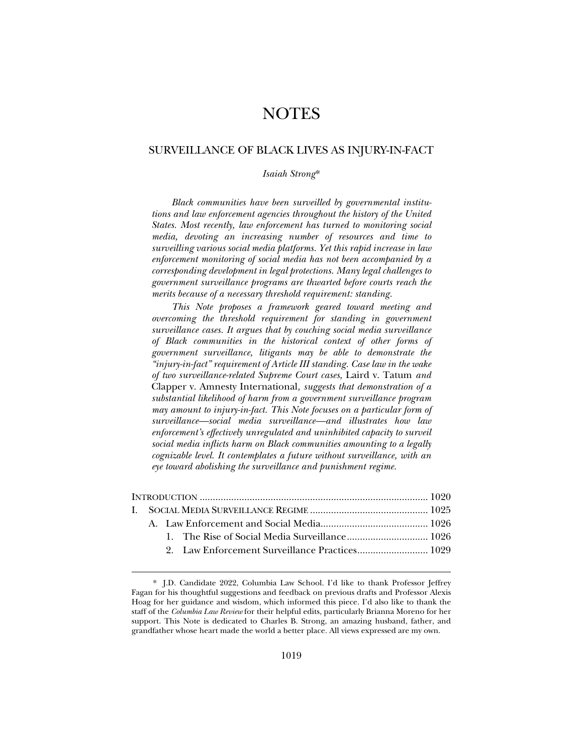# NOTES

# SURVEILLANCE OF BLACK LIVES AS INJURY-IN-FACT

# *Isaiah Strong*\*

*Black communities have been surveilled by governmental institutions and law enforcement agencies throughout the history of the United States. Most recently, law enforcement has turned to monitoring social media, devoting an increasing number of resources and time to surveilling various social media platforms. Yet this rapid increase in law enforcement monitoring of social media has not been accompanied by a corresponding development in legal protections. Many legal challenges to government surveillance programs are thwarted before courts reach the merits because of a necessary threshold requirement: standing.* 

*This Note proposes a framework geared toward meeting and overcoming the threshold requirement for standing in government surveillance cases. It argues that by couching social media surveillance of Black communities in the historical context of other forms of government surveillance, litigants may be able to demonstrate the "injury-in-fact" requirement of Article III standing. Case law in the wake of two surveillance-related Supreme Court cases,* Laird v. Tatum *and*  Clapper v. Amnesty International*, suggests that demonstration of a substantial likelihood of harm from a government surveillance program may amount to injury-in-fact. This Note focuses on a particular form of surveillance—social media surveillance—and illustrates how law enforcement's effectively unregulated and uninhibited capacity to surveil social media inflicts harm on Black communities amounting to a legally cognizable level. It contemplates a future without surveillance, with an eye toward abolishing the surveillance and punishment regime.* 

<sup>\*.</sup> J.D. Candidate 2022, Columbia Law School. I'd like to thank Professor Jeffrey Fagan for his thoughtful suggestions and feedback on previous drafts and Professor Alexis Hoag for her guidance and wisdom, which informed this piece. I'd also like to thank the staff of the *Columbia Law Review* for their helpful edits, particularly Brianna Moreno for her support. This Note is dedicated to Charles B. Strong, an amazing husband, father, and grandfather whose heart made the world a better place. All views expressed are my own.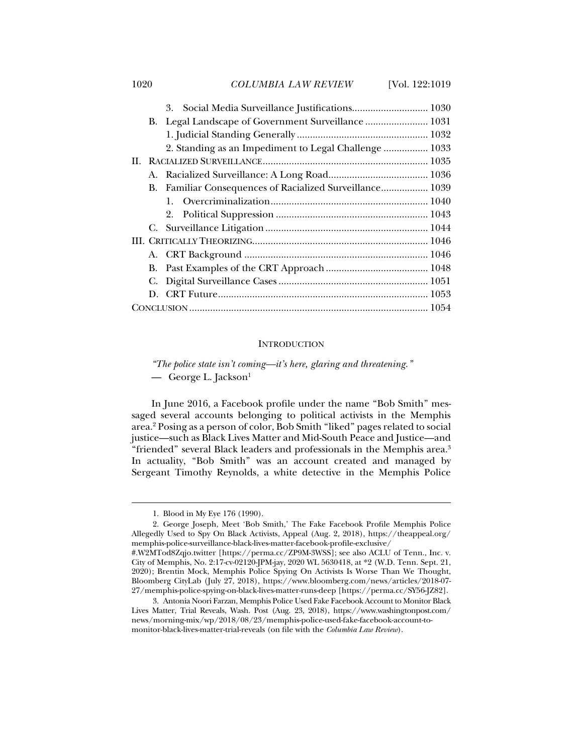## 1020 *COLUMBIA LAW REVIEW* [Vol. 122:1019

| B. Legal Landscape of Government Surveillance  1031<br>2. Standing as an Impediment to Legal Challenge  1033<br>B. Familiar Consequences of Racialized Surveillance 1039 |  |  |  |  |
|--------------------------------------------------------------------------------------------------------------------------------------------------------------------------|--|--|--|--|
|                                                                                                                                                                          |  |  |  |  |
|                                                                                                                                                                          |  |  |  |  |
|                                                                                                                                                                          |  |  |  |  |
|                                                                                                                                                                          |  |  |  |  |
|                                                                                                                                                                          |  |  |  |  |
|                                                                                                                                                                          |  |  |  |  |
|                                                                                                                                                                          |  |  |  |  |
|                                                                                                                                                                          |  |  |  |  |
|                                                                                                                                                                          |  |  |  |  |
|                                                                                                                                                                          |  |  |  |  |
|                                                                                                                                                                          |  |  |  |  |
|                                                                                                                                                                          |  |  |  |  |
|                                                                                                                                                                          |  |  |  |  |
|                                                                                                                                                                          |  |  |  |  |
|                                                                                                                                                                          |  |  |  |  |
|                                                                                                                                                                          |  |  |  |  |

## **INTRODUCTION**

*"The police state isn't coming—it's here, glaring and threatening."* — George L. Jackson<sup>1</sup>

In June 2016, a Facebook profile under the name "Bob Smith" messaged several accounts belonging to political activists in the Memphis area.2 Posing as a person of color, Bob Smith "liked" pages related to social justice—such as Black Lives Matter and Mid-South Peace and Justice—and "friended" several Black leaders and professionals in the Memphis area.<sup>3</sup> In actuality, "Bob Smith" was an account created and managed by Sergeant Timothy Reynolds, a white detective in the Memphis Police

 <sup>1.</sup> Blood in My Eye 176 (1990).

 <sup>2.</sup> George Joseph, Meet 'Bob Smith,' The Fake Facebook Profile Memphis Police Allegedly Used to Spy On Black Activists, Appeal (Aug. 2, 2018), https://theappeal.org/ memphis-police-surveillance-black-lives-matter-facebook-profile-exclusive/

<sup>#.</sup>W2MTod8Zqjo.twitter [https://perma.cc/ZP9M-3WSS]; see also ACLU of Tenn., Inc. v. City of Memphis, No. 2:17-cv-02120-JPM-jay, 2020 WL 5630418, at \*2 (W.D. Tenn. Sept. 21, 2020); Brentin Mock, Memphis Police Spying On Activists Is Worse Than We Thought, Bloomberg CityLab (July 27, 2018), https://www.bloomberg.com/news/articles/2018-07- 27/memphis-police-spying-on-black-lives-matter-runs-deep [https://perma.cc/SY56-JZ82].

 <sup>3.</sup> Antonia Noori Farzan, Memphis Police Used Fake Facebook Account to Monitor Black Lives Matter, Trial Reveals, Wash. Post (Aug. 23, 2018), https://www.washingtonpost.com/ news/morning-mix/wp/2018/08/23/memphis-police-used-fake-facebook-account-tomonitor-black-lives-matter-trial-reveals (on file with the *Columbia Law Review*).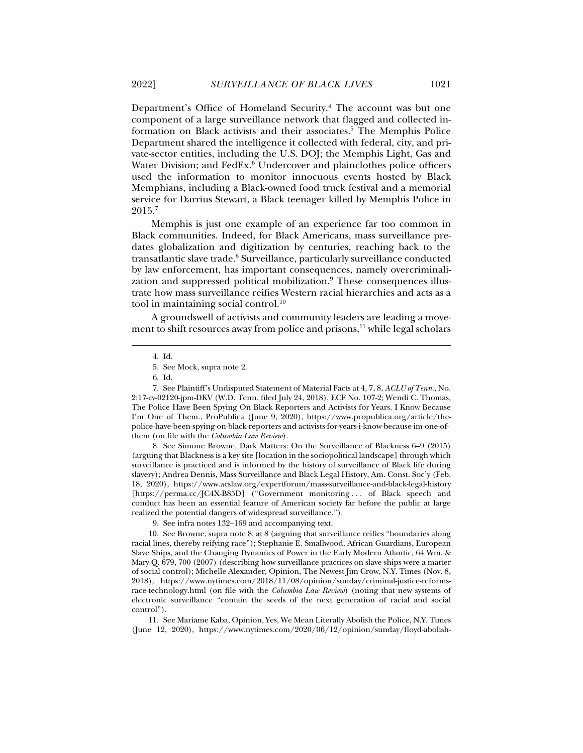Department's Office of Homeland Security.<sup>4</sup> The account was but one component of a large surveillance network that flagged and collected information on Black activists and their associates.<sup>5</sup> The Memphis Police Department shared the intelligence it collected with federal, city, and private-sector entities, including the U.S. DOJ; the Memphis Light, Gas and Water Division; and FedEx.<sup>6</sup> Undercover and plainclothes police officers used the information to monitor innocuous events hosted by Black Memphians, including a Black-owned food truck festival and a memorial service for Darrius Stewart, a Black teenager killed by Memphis Police in 2015.7

Memphis is just one example of an experience far too common in Black communities. Indeed, for Black Americans, mass surveillance predates globalization and digitization by centuries, reaching back to the transatlantic slave trade.<sup>8</sup> Surveillance, particularly surveillance conducted by law enforcement, has important consequences, namely overcriminalization and suppressed political mobilization.<sup>9</sup> These consequences illustrate how mass surveillance reifies Western racial hierarchies and acts as a tool in maintaining social control.<sup>10</sup>

A groundswell of activists and community leaders are leading a movement to shift resources away from police and prisons, $11$  while legal scholars

j

 8. See Simone Browne, Dark Matters: On the Surveillance of Blackness 6–9 (2015) (arguing that Blackness is a key site [location in the sociopolitical landscape] through which surveillance is practiced and is informed by the history of surveillance of Black life during slavery); Andrea Dennis, Mass Surveillance and Black Legal History, Am. Const. Soc'y (Feb. 18, 2020), https://www.acslaw.org/expertforum/mass-surveillance-and-black-legal-history [https://perma.cc/JC4X-B85D] ("Government monitoring . . . of Black speech and conduct has been an essential feature of American society far before the public at large realized the potential dangers of widespread surveillance.").

 10. See Browne, supra note 8, at 8 (arguing that surveillance reifies "boundaries along racial lines, thereby reifying race"); Stephanie E. Smallwood, African Guardians, European Slave Ships, and the Changing Dynamics of Power in the Early Modern Atlantic, 64 Wm. & Mary Q. 679, 700 (2007) (describing how surveillance practices on slave ships were a matter of social control); Michelle Alexander, Opinion, The Newest Jim Crow, N.Y. Times (Nov. 8, 2018), https://www.nytimes.com/2018/11/08/opinion/sunday/criminal-justice-reformsrace-technology.html (on file with the *Columbia Law Review*) (noting that new systems of electronic surveillance "contain the seeds of the next generation of racial and social control").

 11. See Mariame Kaba, Opinion, Yes, We Mean Literally Abolish the Police, N.Y. Times (June 12, 2020), https://www.nytimes.com/2020/06/12/opinion/sunday/floyd-abolish-

 <sup>4.</sup> Id.

 <sup>5.</sup> See Mock, supra note 2.

 <sup>6.</sup> Id.

 <sup>7.</sup> See Plaintiff's Undisputed Statement of Material Facts at 4, 7, 8, *ACLU of Tenn.*, No. 2:17-cv-02120-jpm-DKV (W.D. Tenn. filed July 24, 2018), ECF No. 107-2; Wendi C. Thomas, The Police Have Been Spying On Black Reporters and Activists for Years. I Know Because I'm One of Them., ProPublica (June 9, 2020), https://www.propublica.org/article/thepolice-have-been-spying-on-black-reporters-and-activists-for-years-i-know-because-im-one-ofthem (on file with the *Columbia Law Review*).

 <sup>9.</sup> See infra notes 132–169 and accompanying text.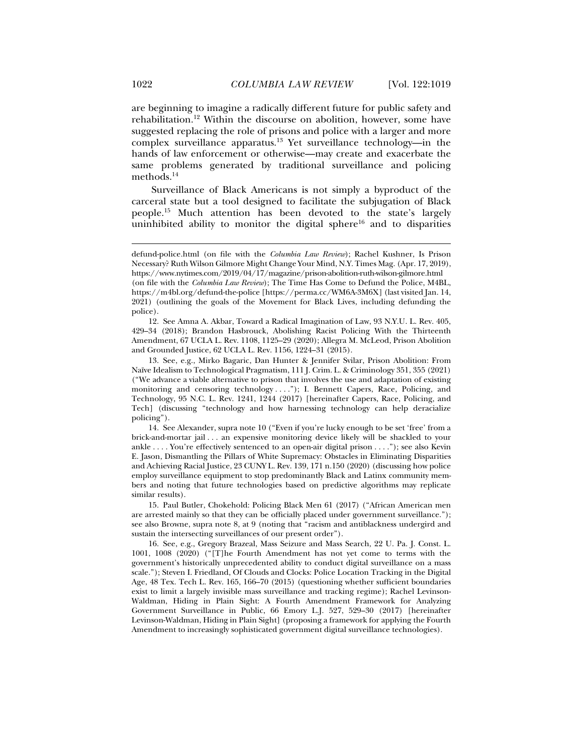are beginning to imagine a radically different future for public safety and rehabilitation.12 Within the discourse on abolition, however, some have suggested replacing the role of prisons and police with a larger and more complex surveillance apparatus.13 Yet surveillance technology—in the hands of law enforcement or otherwise—may create and exacerbate the same problems generated by traditional surveillance and policing methods.14

Surveillance of Black Americans is not simply a byproduct of the carceral state but a tool designed to facilitate the subjugation of Black people.15 Much attention has been devoted to the state's largely uninhibited ability to monitor the digital sphere<sup>16</sup> and to disparities

 12. See Amna A. Akbar, Toward a Radical Imagination of Law, 93 N.Y.U. L. Rev. 405, 429–34 (2018); Brandon Hasbrouck, Abolishing Racist Policing With the Thirteenth Amendment, 67 UCLA L. Rev. 1108, 1125–29 (2020); Allegra M. McLeod, Prison Abolition and Grounded Justice, 62 UCLA L. Rev. 1156, 1224–31 (2015).

 13. See, e.g., Mirko Bagaric, Dan Hunter & Jennifer Svilar, Prison Abolition: From Naïve Idealism to Technological Pragmatism, 111 J. Crim. L. & Criminology 351, 355 (2021) ("We advance a viable alternative to prison that involves the use and adaptation of existing monitoring and censoring technology . . . ."); I. Bennett Capers, Race, Policing, and Technology, 95 N.C. L. Rev. 1241, 1244 (2017) [hereinafter Capers, Race, Policing, and Tech] (discussing "technology and how harnessing technology can help deracialize policing").

 14. See Alexander, supra note 10 ("Even if you're lucky enough to be set 'free' from a brick-and-mortar jail . . . an expensive monitoring device likely will be shackled to your ankle . . . . You're effectively sentenced to an open-air digital prison . . . ."); see also Kevin E. Jason, Dismantling the Pillars of White Supremacy: Obstacles in Eliminating Disparities and Achieving Racial Justice, 23 CUNY L. Rev. 139, 171 n.150 (2020) (discussing how police employ surveillance equipment to stop predominantly Black and Latinx community members and noting that future technologies based on predictive algorithms may replicate similar results).

 15. Paul Butler, Chokehold: Policing Black Men 61 (2017) ("African American men are arrested mainly so that they can be officially placed under government surveillance."); see also Browne, supra note 8, at 9 (noting that "racism and antiblackness undergird and sustain the intersecting surveillances of our present order").

 16. See, e.g., Gregory Brazeal, Mass Seizure and Mass Search, 22 U. Pa. J. Const. L. 1001, 1008 (2020) ("[T]he Fourth Amendment has not yet come to terms with the government's historically unprecedented ability to conduct digital surveillance on a mass scale."); Steven I. Friedland, Of Clouds and Clocks: Police Location Tracking in the Digital Age, 48 Tex. Tech L. Rev. 165, 166–70 (2015) (questioning whether sufficient boundaries exist to limit a largely invisible mass surveillance and tracking regime); Rachel Levinson-Waldman, Hiding in Plain Sight: A Fourth Amendment Framework for Analyzing Government Surveillance in Public, 66 Emory L.J. 527, 529–30 (2017) [hereinafter Levinson-Waldman, Hiding in Plain Sight] (proposing a framework for applying the Fourth Amendment to increasingly sophisticated government digital surveillance technologies).

defund-police.html (on file with the *Columbia Law Review*); Rachel Kushner, Is Prison Necessary? Ruth Wilson Gilmore Might Change Your Mind, N.Y. Times Mag. (Apr. 17, 2019), https://www.nytimes.com/2019/04/17/magazine/prison-abolition-ruth-wilson-gilmore.html (on file with the *Columbia Law Review*); The Time Has Come to Defund the Police, M4BL, https://m4bl.org/defund-the-police [https://perma.cc/WM6A-3M6X] (last visited Jan. 14, 2021) (outlining the goals of the Movement for Black Lives, including defunding the police).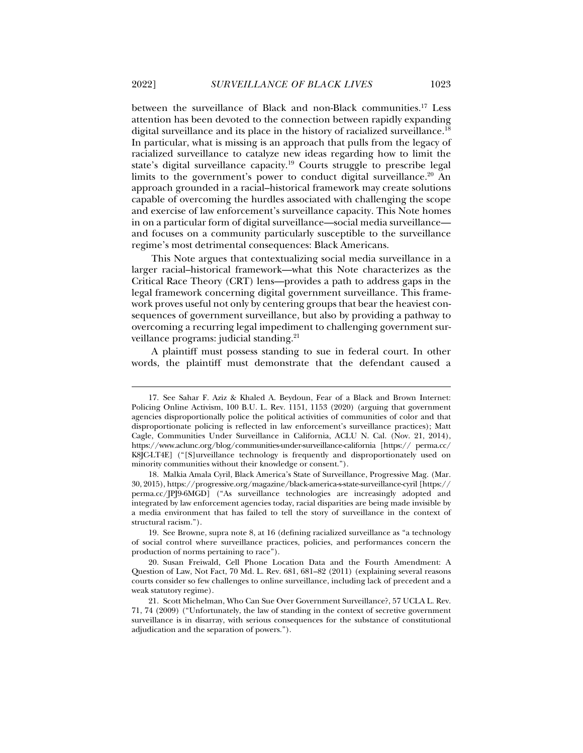between the surveillance of Black and non-Black communities.17 Less attention has been devoted to the connection between rapidly expanding digital surveillance and its place in the history of racialized surveillance.<sup>18</sup> In particular, what is missing is an approach that pulls from the legacy of racialized surveillance to catalyze new ideas regarding how to limit the state's digital surveillance capacity.19 Courts struggle to prescribe legal limits to the government's power to conduct digital surveillance.<sup>20</sup> An approach grounded in a racial–historical framework may create solutions capable of overcoming the hurdles associated with challenging the scope and exercise of law enforcement's surveillance capacity. This Note homes in on a particular form of digital surveillance—social media surveillance and focuses on a community particularly susceptible to the surveillance regime's most detrimental consequences: Black Americans.

This Note argues that contextualizing social media surveillance in a larger racial–historical framework—what this Note characterizes as the Critical Race Theory (CRT) lens—provides a path to address gaps in the legal framework concerning digital government surveillance. This framework proves useful not only by centering groups that bear the heaviest consequences of government surveillance, but also by providing a pathway to overcoming a recurring legal impediment to challenging government surveillance programs: judicial standing.<sup>21</sup>

A plaintiff must possess standing to sue in federal court. In other words, the plaintiff must demonstrate that the defendant caused a

 <sup>17.</sup> See Sahar F. Aziz & Khaled A. Beydoun, Fear of a Black and Brown Internet: Policing Online Activism, 100 B.U. L. Rev. 1151, 1153 (2020) (arguing that government agencies disproportionally police the political activities of communities of color and that disproportionate policing is reflected in law enforcement's surveillance practices); Matt Cagle, Communities Under Surveillance in California, ACLU N. Cal. (Nov. 21, 2014), https://www.aclunc.org/blog/communities-under-surveillance-california [https:// perma.cc/ K8JC-LT4E] ("[S]urveillance technology is frequently and disproportionately used on minority communities without their knowledge or consent.").

 <sup>18.</sup> Malkia Amala Cyril, Black America's State of Surveillance, Progressive Mag. (Mar. 30, 2015), https://progressive.org/magazine/black-america-s-state-surveillance-cyril [https:// perma.cc/JPJ9-6MGD] ("As surveillance technologies are increasingly adopted and integrated by law enforcement agencies today, racial disparities are being made invisible by a media environment that has failed to tell the story of surveillance in the context of structural racism.").

 <sup>19.</sup> See Browne, supra note 8, at 16 (defining racialized surveillance as "a technology of social control where surveillance practices, policies, and performances concern the production of norms pertaining to race").

 <sup>20.</sup> Susan Freiwald, Cell Phone Location Data and the Fourth Amendment: A Question of Law, Not Fact, 70 Md. L. Rev. 681, 681–82 (2011) (explaining several reasons courts consider so few challenges to online surveillance, including lack of precedent and a weak statutory regime).

 <sup>21.</sup> Scott Michelman, Who Can Sue Over Government Surveillance?, 57 UCLA L. Rev. 71, 74 (2009) ("Unfortunately, the law of standing in the context of secretive government surveillance is in disarray, with serious consequences for the substance of constitutional adjudication and the separation of powers.").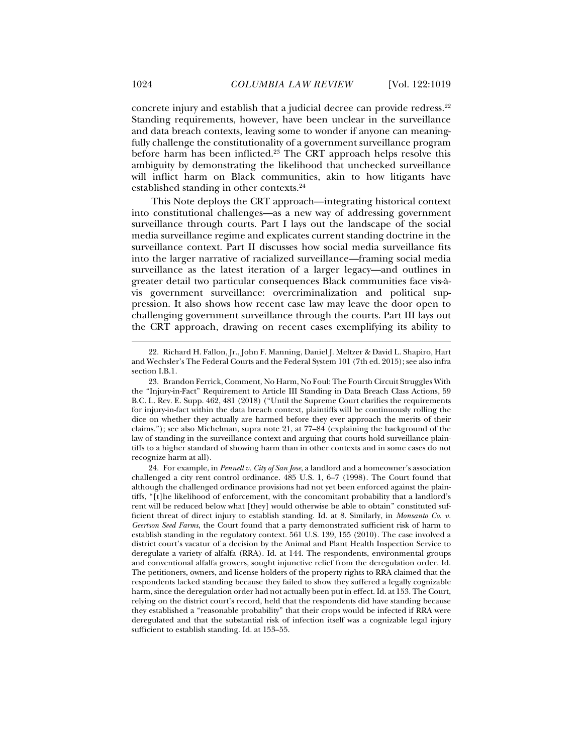concrete injury and establish that a judicial decree can provide redress.<sup>22</sup> Standing requirements, however, have been unclear in the surveillance and data breach contexts, leaving some to wonder if anyone can meaningfully challenge the constitutionality of a government surveillance program before harm has been inflicted.<sup>23</sup> The CRT approach helps resolve this ambiguity by demonstrating the likelihood that unchecked surveillance will inflict harm on Black communities, akin to how litigants have established standing in other contexts.24

This Note deploys the CRT approach—integrating historical context into constitutional challenges—as a new way of addressing government surveillance through courts. Part I lays out the landscape of the social media surveillance regime and explicates current standing doctrine in the surveillance context. Part II discusses how social media surveillance fits into the larger narrative of racialized surveillance—framing social media surveillance as the latest iteration of a larger legacy—and outlines in greater detail two particular consequences Black communities face vis-àvis government surveillance: overcriminalization and political suppression. It also shows how recent case law may leave the door open to challenging government surveillance through the courts. Part III lays out the CRT approach, drawing on recent cases exemplifying its ability to

 <sup>22.</sup> Richard H. Fallon, Jr., John F. Manning, Daniel J. Meltzer & David L. Shapiro, Hart and Wechsler's The Federal Courts and the Federal System 101 (7th ed. 2015); see also infra section I.B.1.

 <sup>23.</sup> Brandon Ferrick, Comment, No Harm, No Foul: The Fourth Circuit Struggles With the "Injury-in-Fact" Requirement to Article III Standing in Data Breach Class Actions, 59 B.C. L. Rev. E. Supp. 462, 481 (2018) ("Until the Supreme Court clarifies the requirements for injury-in-fact within the data breach context, plaintiffs will be continuously rolling the dice on whether they actually are harmed before they ever approach the merits of their claims."); see also Michelman, supra note 21, at 77–84 (explaining the background of the law of standing in the surveillance context and arguing that courts hold surveillance plaintiffs to a higher standard of showing harm than in other contexts and in some cases do not recognize harm at all).

 <sup>24.</sup> For example, in *Pennell v. City of San Jose*, a landlord and a homeowner's association challenged a city rent control ordinance. 485 U.S. 1, 6–7 (1998). The Court found that although the challenged ordinance provisions had not yet been enforced against the plaintiffs, "[t]he likelihood of enforcement, with the concomitant probability that a landlord's rent will be reduced below what [they] would otherwise be able to obtain" constituted sufficient threat of direct injury to establish standing. Id. at 8. Similarly, in *Monsanto Co. v. Geertson Seed Farms*, the Court found that a party demonstrated sufficient risk of harm to establish standing in the regulatory context. 561 U.S. 139, 155 (2010). The case involved a district court's vacatur of a decision by the Animal and Plant Health Inspection Service to deregulate a variety of alfalfa (RRA). Id. at 144. The respondents, environmental groups and conventional alfalfa growers, sought injunctive relief from the deregulation order. Id. The petitioners, owners, and license holders of the property rights to RRA claimed that the respondents lacked standing because they failed to show they suffered a legally cognizable harm, since the deregulation order had not actually been put in effect. Id. at 153. The Court, relying on the district court's record, held that the respondents did have standing because they established a "reasonable probability" that their crops would be infected if RRA were deregulated and that the substantial risk of infection itself was a cognizable legal injury sufficient to establish standing. Id. at 153–55.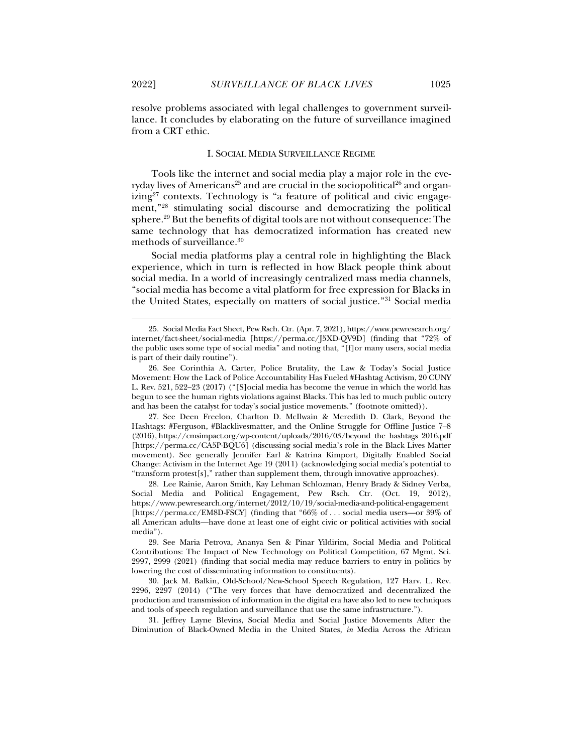j

resolve problems associated with legal challenges to government surveillance. It concludes by elaborating on the future of surveillance imagined from a CRT ethic.

#### I. SOCIAL MEDIA SURVEILLANCE REGIME

Tools like the internet and social media play a major role in the everyday lives of Americans<sup>25</sup> and are crucial in the sociopolitical<sup>26</sup> and organ $izing<sup>27</sup>$  contexts. Technology is "a feature of political and civic engagement,"28 stimulating social discourse and democratizing the political sphere.29 But the benefits of digital tools are not without consequence: The same technology that has democratized information has created new methods of surveillance.30

Social media platforms play a central role in highlighting the Black experience, which in turn is reflected in how Black people think about social media. In a world of increasingly centralized mass media channels, "social media has become a vital platform for free expression for Blacks in the United States, especially on matters of social justice."31 Social media

 27. See Deen Freelon, Charlton D. McIlwain & Meredith D. Clark, Beyond the Hashtags: #Ferguson, #Blacklivesmatter, and the Online Struggle for Offline Justice 7–8 (2016), https://cmsimpact.org/wp-content/uploads/2016/03/beyond\_the\_hashtags\_2016.pdf [https://perma.cc/CA5P-BQU6] (discussing social media's role in the Black Lives Matter movement). See generally Jennifer Earl & Katrina Kimport, Digitally Enabled Social Change: Activism in the Internet Age 19 (2011) (acknowledging social media's potential to "transform protest[s]," rather than supplement them, through innovative approaches).

 28. Lee Rainie, Aaron Smith, Kay Lehman Schlozman, Henry Brady & Sidney Verba, Social Media and Political Engagement, Pew Rsch. Ctr. (Oct. 19, 2012), https://www.pewresearch.org/internet/2012/10/19/social-media-and-political-engagement [https://perma.cc/EM8D-FSCY] (finding that "66% of . . . social media users—or 39% of all American adults—have done at least one of eight civic or political activities with social media").

 31. Jeffrey Layne Blevins, Social Media and Social Justice Movements After the Diminution of Black-Owned Media in the United States, *in* Media Across the African

 <sup>25.</sup> Social Media Fact Sheet, Pew Rsch. Ctr. (Apr. 7, 2021), https://www.pewresearch.org/ internet/fact-sheet/social-media [https://perma.cc/J5XD-QV9D] (finding that "72% of the public uses some type of social media" and noting that, "[f]or many users, social media is part of their daily routine").

 <sup>26.</sup> See Corinthia A. Carter, Police Brutality, the Law & Today's Social Justice Movement: How the Lack of Police Accountability Has Fueled #Hashtag Activism, 20 CUNY L. Rev. 521, 522–23 (2017) ("[S]ocial media has become the venue in which the world has begun to see the human rights violations against Blacks. This has led to much public outcry and has been the catalyst for today's social justice movements." (footnote omitted)).

 <sup>29.</sup> See Maria Petrova, Ananya Sen & Pinar Yildirim, Social Media and Political Contributions: The Impact of New Technology on Political Competition, 67 Mgmt. Sci. 2997, 2999 (2021) (finding that social media may reduce barriers to entry in politics by lowering the cost of disseminating information to constituents).

 <sup>30.</sup> Jack M. Balkin, Old-School/New-School Speech Regulation, 127 Harv. L. Rev. 2296, 2297 (2014) ("The very forces that have democratized and decentralized the production and transmission of information in the digital era have also led to new techniques and tools of speech regulation and surveillance that use the same infrastructure.").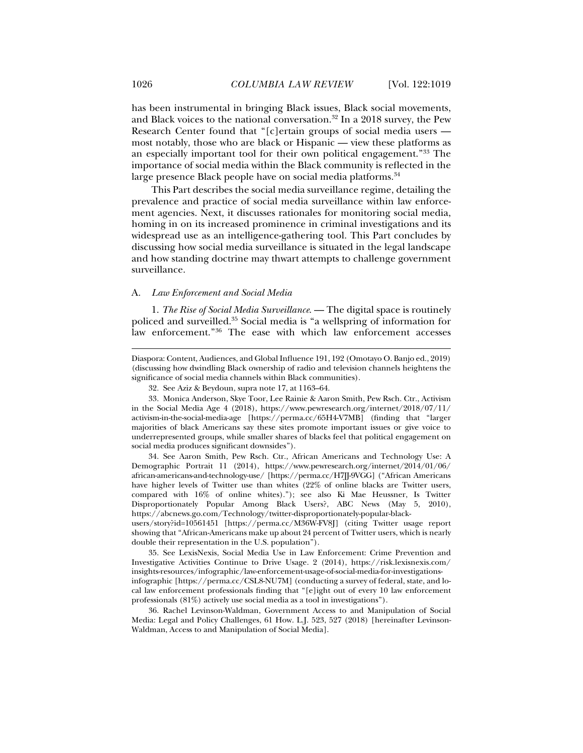has been instrumental in bringing Black issues, Black social movements, and Black voices to the national conversation.32 In a 2018 survey, the Pew Research Center found that "[c]ertain groups of social media users most notably, those who are black or Hispanic — view these platforms as an especially important tool for their own political engagement."33 The importance of social media within the Black community is reflected in the large presence Black people have on social media platforms.<sup>34</sup>

This Part describes the social media surveillance regime, detailing the prevalence and practice of social media surveillance within law enforcement agencies. Next, it discusses rationales for monitoring social media, homing in on its increased prominence in criminal investigations and its widespread use as an intelligence-gathering tool. This Part concludes by discussing how social media surveillance is situated in the legal landscape and how standing doctrine may thwart attempts to challenge government surveillance.

#### A. *Law Enforcement and Social Media*

1. *The Rise of Social Media Surveillance*. — The digital space is routinely policed and surveilled.35 Social media is "a wellspring of information for law enforcement."36 The ease with which law enforcement accesses

 34. See Aaron Smith, Pew Rsch. Ctr., African Americans and Technology Use: A Demographic Portrait 11 (2014), https://www.pewresearch.org/internet/2014/01/06/ african-americans-and-technology-use/ [https://perma.cc/H7JJ-9VGG] ("African Americans have higher levels of Twitter use than whites (22% of online blacks are Twitter users, compared with 16% of online whites)."); see also Ki Mae Heussner, Is Twitter Disproportionately Popular Among Black Users?, ABC News (May 5, 2010), https://abcnews.go.com/Technology/twitter-disproportionately-popular-black-

users/story?id=10561451 [https://perma.cc/M36W-FV8J] (citing Twitter usage report showing that "African-Americans make up about 24 percent of Twitter users, which is nearly double their representation in the U.S. population").

 35. See LexisNexis, Social Media Use in Law Enforcement: Crime Prevention and Investigative Activities Continue to Drive Usage. 2 (2014), https://risk.lexisnexis.com/ insights-resources/infographic/law-enforcement-usage-of-social-media-for-investigationsinfographic [https://perma.cc/CSL8-NU7M] (conducting a survey of federal, state, and local law enforcement professionals finding that "[e]ight out of every 10 law enforcement professionals (81%) actively use social media as a tool in investigations").

 36. Rachel Levinson-Waldman, Government Access to and Manipulation of Social Media: Legal and Policy Challenges, 61 How. L.J. 523, 527 (2018) [hereinafter Levinson-Waldman, Access to and Manipulation of Social Media].

Diaspora: Content, Audiences, and Global Influence 191, 192 (Omotayo O. Banjo ed., 2019) (discussing how dwindling Black ownership of radio and television channels heightens the significance of social media channels within Black communities).

 <sup>32.</sup> See Aziz & Beydoun, supra note 17, at 1163–64.

 <sup>33.</sup> Monica Anderson, Skye Toor, Lee Rainie & Aaron Smith, Pew Rsch. Ctr., Activism in the Social Media Age 4 (2018), https://www.pewresearch.org/internet/2018/07/11/ activism-in-the-social-media-age [https://perma.cc/65H4-V7MB] (finding that "larger majorities of black Americans say these sites promote important issues or give voice to underrepresented groups, while smaller shares of blacks feel that political engagement on social media produces significant downsides").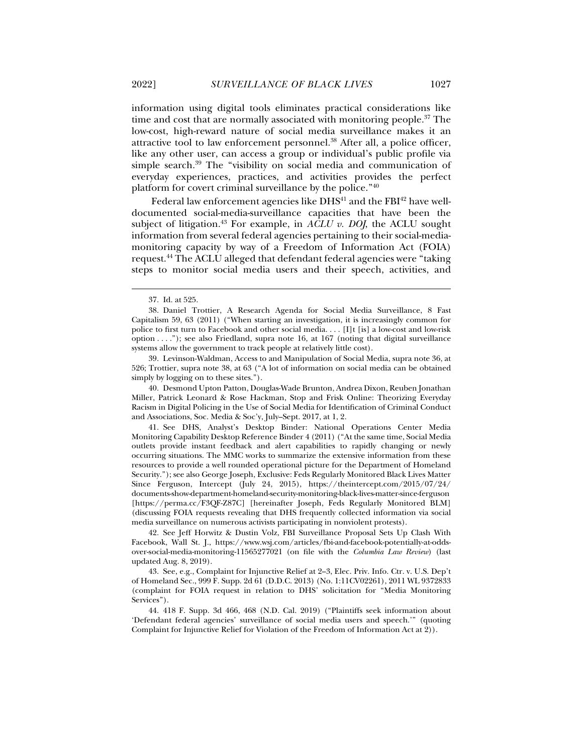information using digital tools eliminates practical considerations like time and cost that are normally associated with monitoring people.<sup>37</sup> The low-cost, high-reward nature of social media surveillance makes it an attractive tool to law enforcement personnel.38 After all, a police officer, like any other user, can access a group or individual's public profile via simple search.<sup>39</sup> The "visibility on social media and communication of everyday experiences, practices, and activities provides the perfect platform for covert criminal surveillance by the police."40

Federal law enforcement agencies like  $DHS<sup>41</sup>$  and the  $FBI<sup>42</sup>$  have welldocumented social-media-surveillance capacities that have been the subject of litigation.<sup>43</sup> For example, in *ACLU v. DOJ*, the ACLU sought information from several federal agencies pertaining to their social-mediamonitoring capacity by way of a Freedom of Information Act (FOIA) request.44 The ACLU alleged that defendant federal agencies were "taking steps to monitor social media users and their speech, activities, and

 <sup>37.</sup> Id. at 525.

 <sup>38.</sup> Daniel Trottier, A Research Agenda for Social Media Surveillance, 8 Fast Capitalism 59, 63 (2011) ("When starting an investigation, it is increasingly common for police to first turn to Facebook and other social media. . . . [I]t [is] a low-cost and low-risk option . . . ."); see also Friedland, supra note 16, at 167 (noting that digital surveillance systems allow the government to track people at relatively little cost).

 <sup>39.</sup> Levinson-Waldman, Access to and Manipulation of Social Media, supra note 36, at 526; Trottier, supra note 38, at 63 ("A lot of information on social media can be obtained simply by logging on to these sites.").

 <sup>40.</sup> Desmond Upton Patton, Douglas-Wade Brunton, Andrea Dixon, Reuben Jonathan Miller, Patrick Leonard & Rose Hackman, Stop and Frisk Online: Theorizing Everyday Racism in Digital Policing in the Use of Social Media for Identification of Criminal Conduct and Associations, Soc. Media & Soc'y, July–Sept. 2017, at 1, 2.

 <sup>41.</sup> See DHS, Analyst's Desktop Binder: National Operations Center Media Monitoring Capability Desktop Reference Binder 4 (2011) ("At the same time, Social Media outlets provide instant feedback and alert capabilities to rapidly changing or newly occurring situations. The MMC works to summarize the extensive information from these resources to provide a well rounded operational picture for the Department of Homeland Security."); see also George Joseph, Exclusive: Feds Regularly Monitored Black Lives Matter Since Ferguson, Intercept (July 24, 2015), https://theintercept.com/2015/07/24/ documents-show-department-homeland-security-monitoring-black-lives-matter-since-ferguson [https://perma.cc/F3QF-Z87C] [hereinafter Joseph, Feds Regularly Monitored BLM] (discussing FOIA requests revealing that DHS frequently collected information via social media surveillance on numerous activists participating in nonviolent protests).

 <sup>42.</sup> See Jeff Horwitz & Dustin Volz, FBI Surveillance Proposal Sets Up Clash With Facebook, Wall St. J., https://www.wsj.com/articles/fbi-and-facebook-potentially-at-oddsover-social-media-monitoring-11565277021 (on file with the *Columbia Law Review*) (last updated Aug. 8, 2019).

 <sup>43.</sup> See, e.g., Complaint for Injunctive Relief at 2–3, Elec. Priv. Info. Ctr. v. U.S. Dep't of Homeland Sec., 999 F. Supp. 2d 61 (D.D.C. 2013) (No. 1:11CV02261), 2011 WL 9372833 (complaint for FOIA request in relation to DHS' solicitation for "Media Monitoring Services").

 <sup>44. 418</sup> F. Supp. 3d 466, 468 (N.D. Cal. 2019) ("Plaintiffs seek information about 'Defendant federal agencies' surveillance of social media users and speech.'" (quoting Complaint for Injunctive Relief for Violation of the Freedom of Information Act at 2)).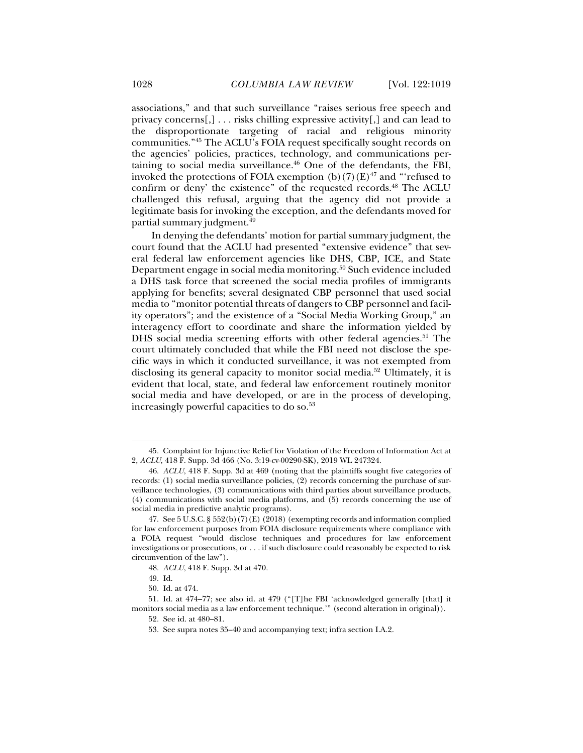associations," and that such surveillance "raises serious free speech and privacy concerns[,] . . . risks chilling expressive activity[,] and can lead to the disproportionate targeting of racial and religious minority communities."45 The ACLU's FOIA request specifically sought records on the agencies' policies, practices, technology, and communications pertaining to social media surveillance.<sup>46</sup> One of the defendants, the FBI, invoked the protections of FOIA exemption  $(b)(7)(E)^{47}$  and "refused to confirm or deny' the existence" of the requested records.<sup>48</sup> The ACLU challenged this refusal, arguing that the agency did not provide a legitimate basis for invoking the exception, and the defendants moved for

In denying the defendants' motion for partial summary judgment, the court found that the ACLU had presented "extensive evidence" that several federal law enforcement agencies like DHS, CBP, ICE, and State Department engage in social media monitoring.50 Such evidence included a DHS task force that screened the social media profiles of immigrants applying for benefits; several designated CBP personnel that used social media to "monitor potential threats of dangers to CBP personnel and facility operators"; and the existence of a "Social Media Working Group," an interagency effort to coordinate and share the information yielded by DHS social media screening efforts with other federal agencies.<sup>51</sup> The court ultimately concluded that while the FBI need not disclose the specific ways in which it conducted surveillance, it was not exempted from disclosing its general capacity to monitor social media.<sup>52</sup> Ultimately, it is evident that local, state, and federal law enforcement routinely monitor social media and have developed, or are in the process of developing, increasingly powerful capacities to do so.<sup>53</sup>

j

partial summary judgment.49

 <sup>45.</sup> Complaint for Injunctive Relief for Violation of the Freedom of Information Act at 2, *ACLU*, 418 F. Supp. 3d 466 (No. 3:19-cv-00290-SK), 2019 WL 247324.

<sup>46.</sup> *ACLU*, 418 F. Supp. 3d at 469 (noting that the plaintiffs sought five categories of records: (1) social media surveillance policies, (2) records concerning the purchase of surveillance technologies, (3) communications with third parties about surveillance products, (4) communications with social media platforms, and (5) records concerning the use of social media in predictive analytic programs).

 <sup>47.</sup> See 5 U.S.C. § 552(b)(7)(E) (2018) (exempting records and information complied for law enforcement purposes from FOIA disclosure requirements where compliance with a FOIA request "would disclose techniques and procedures for law enforcement investigations or prosecutions, or . . . if such disclosure could reasonably be expected to risk circumvention of the law").

<sup>48.</sup> *ACLU*, 418 F. Supp. 3d at 470.

 <sup>49.</sup> Id.

 <sup>50.</sup> Id. at 474.

 <sup>51.</sup> Id. at 474–77; see also id. at 479 ("[T]he FBI 'acknowledged generally [that] it monitors social media as a law enforcement technique.'" (second alteration in original)).

 <sup>52.</sup> See id. at 480–81.

 <sup>53.</sup> See supra notes 35–40 and accompanying text; infra section I.A.2.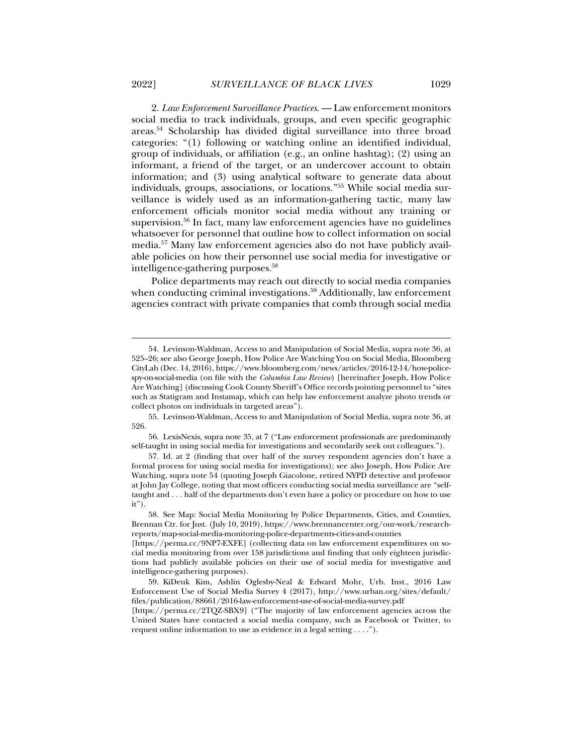2. *Law Enforcement Surveillance Practices*. — Law enforcement monitors social media to track individuals, groups, and even specific geographic areas.54 Scholarship has divided digital surveillance into three broad categories: "(1) following or watching online an identified individual, group of individuals, or affiliation (e.g., an online hashtag); (2) using an informant, a friend of the target, or an undercover account to obtain information; and (3) using analytical software to generate data about individuals, groups, associations, or locations."55 While social media surveillance is widely used as an information-gathering tactic, many law enforcement officials monitor social media without any training or supervision.56 In fact, many law enforcement agencies have no guidelines whatsoever for personnel that outline how to collect information on social media.57 Many law enforcement agencies also do not have publicly available policies on how their personnel use social media for investigative or intelligence-gathering purposes.58

Police departments may reach out directly to social media companies when conducting criminal investigations.<sup>59</sup> Additionally, law enforcement agencies contract with private companies that comb through social media

 <sup>54.</sup> Levinson-Waldman, Access to and Manipulation of Social Media, supra note 36, at 525–26; see also George Joseph, How Police Are Watching You on Social Media, Bloomberg CityLab (Dec. 14, 2016), https://www.bloomberg.com/news/articles/2016-12-14/how-policespy-on-social-media (on file with the *Columbia Law Review*) [hereinafter Joseph, How Police Are Watching] (discussing Cook County Sheriff's Office records pointing personnel to "sites such as Statigram and Instamap, which can help law enforcement analyze photo trends or collect photos on individuals in targeted areas").

 <sup>55.</sup> Levinson-Waldman, Access to and Manipulation of Social Media, supra note 36, at 526.

 <sup>56.</sup> LexisNexis, supra note 35, at 7 ("Law enforcement professionals are predominantly self-taught in using social media for investigations and secondarily seek out colleagues.").

 <sup>57.</sup> Id. at 2 (finding that over half of the survey respondent agencies don't have a formal process for using social media for investigations); see also Joseph, How Police Are Watching, supra note 54 (quoting Joseph Giacolone, retired NYPD detective and professor at John Jay College, noting that most officers conducting social media surveillance are "selftaught and . . . half of the departments don't even have a policy or procedure on how to use  $it$ ").

 <sup>58.</sup> See Map: Social Media Monitoring by Police Departments, Cities, and Counties, Brennan Ctr. for Just. (July 10, 2019), https://www.brennancenter.org/our-work/researchreports/map-social-media-monitoring-police-departments-cities-and-counties

<sup>[</sup>https://perma.cc/9NP7-EXFE] (collecting data on law enforcement expenditures on social media monitoring from over 158 jurisdictions and finding that only eighteen jurisdictions had publicly available policies on their use of social media for investigative and intelligence-gathering purposes).

 <sup>59.</sup> KiDeuk Kim, Ashlin Oglesby-Neal & Edward Mohr, Urb. Inst., 2016 Law Enforcement Use of Social Media Survey 4 (2017), http://www.urban.org/sites/default/ files/publication/88661/2016-law-enforcement-use-of-social-media-survey.pdf

<sup>[</sup>https://perma.cc/2TQZ-SBX9] ("The majority of law enforcement agencies across the United States have contacted a social media company, such as Facebook or Twitter, to request online information to use as evidence in a legal setting . . . .").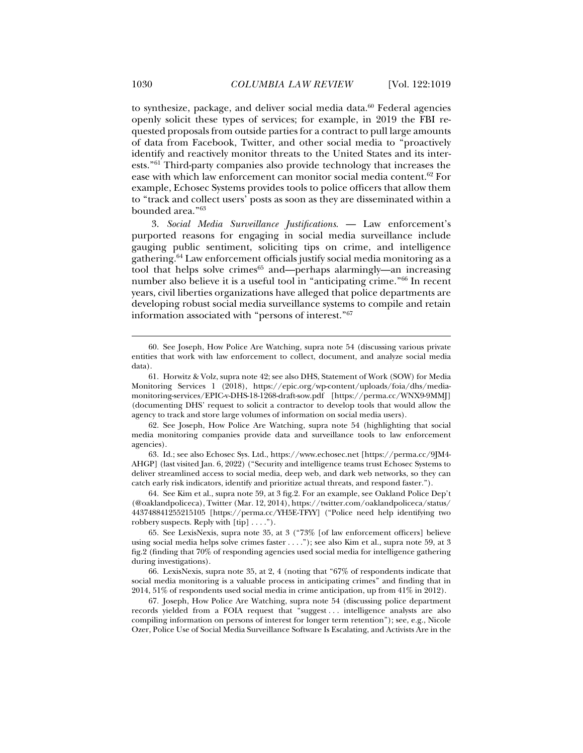to synthesize, package, and deliver social media data.<sup>60</sup> Federal agencies openly solicit these types of services; for example, in 2019 the FBI requested proposals from outside parties for a contract to pull large amounts of data from Facebook, Twitter, and other social media to "proactively identify and reactively monitor threats to the United States and its interests."61 Third-party companies also provide technology that increases the ease with which law enforcement can monitor social media content.62 For example, Echosec Systems provides tools to police officers that allow them to "track and collect users' posts as soon as they are disseminated within a

3. *Social Media Surveillance Justifications*. — Law enforcement's purported reasons for engaging in social media surveillance include gauging public sentiment, soliciting tips on crime, and intelligence gathering.64 Law enforcement officials justify social media monitoring as a tool that helps solve crimes $65$  and—perhaps alarmingly—an increasing number also believe it is a useful tool in "anticipating crime."66 In recent years, civil liberties organizations have alleged that police departments are developing robust social media surveillance systems to compile and retain information associated with "persons of interest."67

 62. See Joseph, How Police Are Watching, supra note 54 (highlighting that social media monitoring companies provide data and surveillance tools to law enforcement agencies).

 63. Id.; see also Echosec Sys. Ltd., https://www.echosec.net [https://perma.cc/9JM4- AHGP] (last visited Jan. 6, 2022) ("Security and intelligence teams trust Echosec Systems to deliver streamlined access to social media, deep web, and dark web networks, so they can catch early risk indicators, identify and prioritize actual threats, and respond faster.").

 64. See Kim et al., supra note 59, at 3 fig.2. For an example, see Oakland Police Dep't (@oaklandpoliceca), Twitter (Mar. 12, 2014), https://twitter.com/oaklandpoliceca/status/ 443748841255215105 [https://perma.cc/YH5E-TFYY] ("Police need help identifying two robbery suspects. Reply with [tip] . . . .").

 65. See LexisNexis, supra note 35, at 3 ("73% [of law enforcement officers] believe using social media helps solve crimes faster . . . ."); see also Kim et al., supra note 59, at 3 fig.2 (finding that 70% of responding agencies used social media for intelligence gathering during investigations).

 66. LexisNexis, supra note 35, at 2, 4 (noting that "67% of respondents indicate that social media monitoring is a valuable process in anticipating crimes" and finding that in 2014, 51% of respondents used social media in crime anticipation, up from 41% in 2012).

 67. Joseph, How Police Are Watching, supra note 54 (discussing police department records yielded from a FOIA request that "suggest . . . intelligence analysts are also compiling information on persons of interest for longer term retention"); see, e.g., Nicole Ozer, Police Use of Social Media Surveillance Software Is Escalating, and Activists Are in the

j

bounded area."63

 <sup>60.</sup> See Joseph, How Police Are Watching, supra note 54 (discussing various private entities that work with law enforcement to collect, document, and analyze social media data).

 <sup>61.</sup> Horwitz & Volz, supra note 42; see also DHS, Statement of Work (SOW) for Media Monitoring Services 1 (2018), https://epic.org/wp-content/uploads/foia/dhs/mediamonitoring-services/EPIC-v-DHS-18-1268-draft-sow.pdf [https://perma.cc/WNX9-9MMJ] (documenting DHS' request to solicit a contractor to develop tools that would allow the agency to track and store large volumes of information on social media users).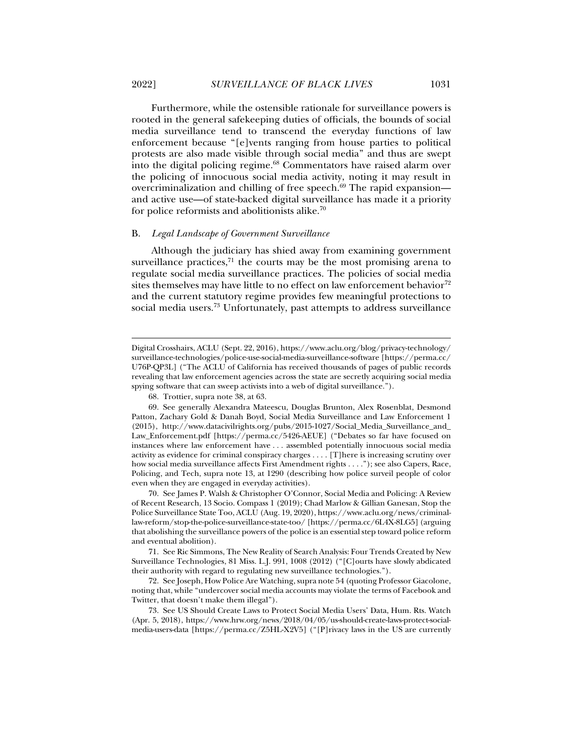Furthermore, while the ostensible rationale for surveillance powers is rooted in the general safekeeping duties of officials, the bounds of social media surveillance tend to transcend the everyday functions of law enforcement because "[e]vents ranging from house parties to political protests are also made visible through social media" and thus are swept into the digital policing regime.68 Commentators have raised alarm over the policing of innocuous social media activity, noting it may result in overcriminalization and chilling of free speech. $69$  The rapid expansion and active use—of state-backed digital surveillance has made it a priority for police reformists and abolitionists alike.70

#### B. *Legal Landscape of Government Surveillance*

Although the judiciary has shied away from examining government surveillance practices, $71$  the courts may be the most promising arena to regulate social media surveillance practices. The policies of social media sites themselves may have little to no effect on law enforcement behavior<sup>72</sup> and the current statutory regime provides few meaningful protections to social media users.73 Unfortunately, past attempts to address surveillance

Digital Crosshairs, ACLU (Sept. 22, 2016), https://www.aclu.org/blog/privacy-technology/ surveillance-technologies/police-use-social-media-surveillance-software [https://perma.cc/ U76P-QP3L] ("The ACLU of California has received thousands of pages of public records revealing that law enforcement agencies across the state are secretly acquiring social media spying software that can sweep activists into a web of digital surveillance.").

 <sup>68.</sup> Trottier, supra note 38, at 63.

 <sup>69.</sup> See generally Alexandra Mateescu, Douglas Brunton, Alex Rosenblat, Desmond Patton, Zachary Gold & Danah Boyd, Social Media Surveillance and Law Enforcement 1 (2015), http://www.datacivilrights.org/pubs/2015-1027/Social\_Media\_Surveillance\_and\_ Law\_Enforcement.pdf [https://perma.cc/5426-AEUE] ("Debates so far have focused on instances where law enforcement have . . . assembled potentially innocuous social media activity as evidence for criminal conspiracy charges . . . . [T]here is increasing scrutiny over how social media surveillance affects First Amendment rights . . . ."); see also Capers, Race, Policing, and Tech, supra note 13, at 1290 (describing how police surveil people of color even when they are engaged in everyday activities).

 <sup>70.</sup> See James P. Walsh & Christopher O'Connor, Social Media and Policing: A Review of Recent Research, 13 Socio. Compass 1 (2019); Chad Marlow & Gillian Ganesan, Stop the Police Surveillance State Too, ACLU (Aug. 19, 2020), https://www.aclu.org/news/criminallaw-reform/stop-the-police-surveillance-state-too/ [https://perma.cc/6L4X-8LG5] (arguing that abolishing the surveillance powers of the police is an essential step toward police reform and eventual abolition).

 <sup>71.</sup> See Ric Simmons, The New Reality of Search Analysis: Four Trends Created by New Surveillance Technologies, 81 Miss. L.J. 991, 1008 (2012) ("[C]ourts have slowly abdicated their authority with regard to regulating new surveillance technologies.").

 <sup>72.</sup> See Joseph, How Police Are Watching, supra note 54 (quoting Professor Giacolone, noting that, while "undercover social media accounts may violate the terms of Facebook and Twitter, that doesn't make them illegal").

 <sup>73.</sup> See US Should Create Laws to Protect Social Media Users' Data, Hum. Rts. Watch (Apr. 5, 2018), https://www.hrw.org/news/2018/04/05/us-should-create-laws-protect-socialmedia-users-data [https://perma.cc/Z5HL-X2V5] ("[P]rivacy laws in the US are currently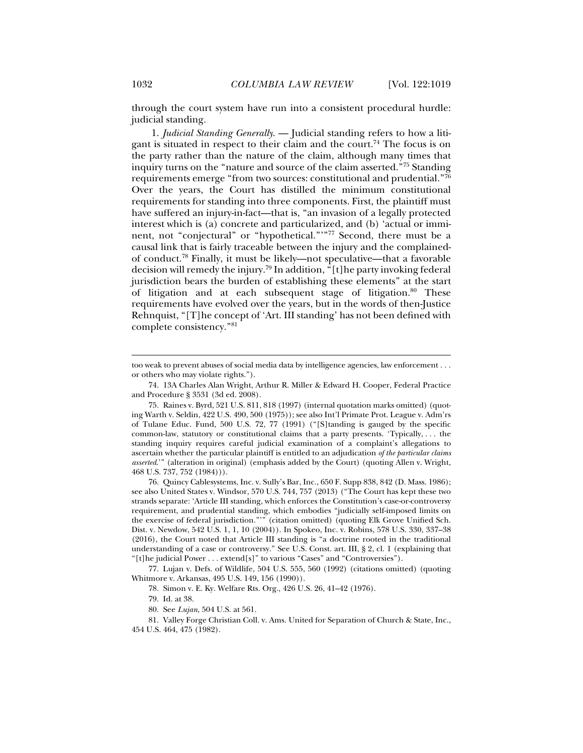through the court system have run into a consistent procedural hurdle: judicial standing.

1. *Judicial Standing Generally*. — Judicial standing refers to how a litigant is situated in respect to their claim and the court.<sup>74</sup> The focus is on the party rather than the nature of the claim, although many times that inquiry turns on the "nature and source of the claim asserted."75 Standing requirements emerge "from two sources: constitutional and prudential."76 Over the years, the Court has distilled the minimum constitutional requirements for standing into three components. First, the plaintiff must have suffered an injury-in-fact—that is, "an invasion of a legally protected interest which is (a) concrete and particularized, and (b) 'actual or imminent, not "conjectural" or "hypothetical."'"77 Second, there must be a causal link that is fairly traceable between the injury and the complainedof conduct.<sup>78</sup> Finally, it must be likely—not speculative—that a favorable decision will remedy the injury.79 In addition, "[t]he party invoking federal jurisdiction bears the burden of establishing these elements" at the start of litigation and at each subsequent stage of litigation.<sup>80</sup> These requirements have evolved over the years, but in the words of then-Justice Rehnquist, "[T]he concept of 'Art. III standing' has not been defined with complete consistency."81

 76. Quincy Cablesystems, Inc. v. Sully's Bar, Inc., 650 F. Supp 838, 842 (D. Mass. 1986); see also United States v. Windsor, 570 U.S. 744, 757 (2013) ("The Court has kept these two strands separate: 'Article III standing, which enforces the Constitution's case-or-controversy requirement, and prudential standing, which embodies "judicially self-imposed limits on the exercise of federal jurisdiction."'" (citation omitted) (quoting Elk Grove Unified Sch. Dist. v. Newdow, 542 U.S. 1, 1, 10 (2004)). In Spokeo, Inc. v. Robins, 578 U.S. 330, 337–38 (2016), the Court noted that Article III standing is "a doctrine rooted in the traditional understanding of a case or controversy." See U.S. Const. art. III, § 2, cl. 1 (explaining that "[t]he judicial Power . . . extend[s]" to various "Cases" and "Controversies").

 77. Lujan v. Defs. of Wildlife, 504 U.S. 555, 560 (1992) (citations omitted) (quoting Whitmore v. Arkansas, 495 U.S. 149, 156 (1990)).

78. Simon v. E. Ky. Welfare Rts. Org., 426 U.S. 26, 41–42 (1976).

79. Id. at 38.

80. See *Lujan*, 504 U.S. at 561.

 81. Valley Forge Christian Coll. v. Ams. United for Separation of Church & State, Inc., 454 U.S. 464, 475 (1982).

too weak to prevent abuses of social media data by intelligence agencies, law enforcement . . . or others who may violate rights.").

 <sup>74. 13</sup>A Charles Alan Wright, Arthur R. Miller & Edward H. Cooper, Federal Practice and Procedure § 3531 (3d ed. 2008).

 <sup>75.</sup> Raines v. Byrd, 521 U.S. 811, 818 (1997) (internal quotation marks omitted) (quoting Warth v. Seldin, 422 U.S. 490, 500 (1975)); see also Int'l Primate Prot. League v. Adm'rs of Tulane Educ. Fund, 500 U.S. 72, 77 (1991) ("[S]tanding is gauged by the specific common-law, statutory or constitutional claims that a party presents. 'Typically, . . . the standing inquiry requires careful judicial examination of a complaint's allegations to ascertain whether the particular plaintiff is entitled to an adjudication *of the particular claims asserted*.'" (alteration in original) (emphasis added by the Court) (quoting Allen v. Wright, 468 U.S. 737, 752 (1984))).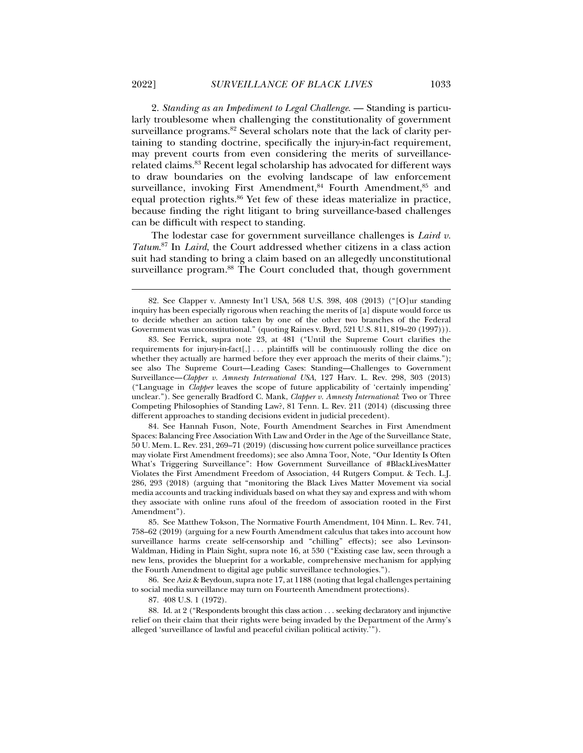2. *Standing as an Impediment to Legal Challenge*. — Standing is particularly troublesome when challenging the constitutionality of government surveillance programs.<sup>82</sup> Several scholars note that the lack of clarity pertaining to standing doctrine, specifically the injury-in-fact requirement, may prevent courts from even considering the merits of surveillancerelated claims.83 Recent legal scholarship has advocated for different ways to draw boundaries on the evolving landscape of law enforcement surveillance, invoking First Amendment,<sup>84</sup> Fourth Amendment,<sup>85</sup> and equal protection rights.<sup>86</sup> Yet few of these ideas materialize in practice, because finding the right litigant to bring surveillance-based challenges can be difficult with respect to standing.

The lodestar case for government surveillance challenges is *Laird v. Tatum*. 87 In *Laird*, the Court addressed whether citizens in a class action suit had standing to bring a claim based on an allegedly unconstitutional surveillance program.<sup>88</sup> The Court concluded that, though government

 86. See Aziz & Beydoun, supra note 17, at 1188 (noting that legal challenges pertaining to social media surveillance may turn on Fourteenth Amendment protections).

87. 408 U.S. 1 (1972).

 <sup>82.</sup> See Clapper v. Amnesty Int'l USA, 568 U.S. 398, 408 (2013) ("[O]ur standing inquiry has been especially rigorous when reaching the merits of [a] dispute would force us to decide whether an action taken by one of the other two branches of the Federal Government was unconstitutional." (quoting Raines v. Byrd, 521 U.S. 811, 819–20 (1997))).

 <sup>83.</sup> See Ferrick, supra note 23, at 481 ("Until the Supreme Court clarifies the requirements for injury-in-fact[,] . . . plaintiffs will be continuously rolling the dice on whether they actually are harmed before they ever approach the merits of their claims."); see also The Supreme Court—Leading Cases: Standing—Challenges to Government Surveillance—*Clapper v. Amnesty International USA*, 127 Harv. L. Rev. 298, 303 (2013) ("Language in *Clapper* leaves the scope of future applicability of 'certainly impending' unclear."). See generally Bradford C. Mank, *Clapper v. Amnesty International*: Two or Three Competing Philosophies of Standing Law?, 81 Tenn. L. Rev. 211 (2014) (discussing three different approaches to standing decisions evident in judicial precedent).

 <sup>84.</sup> See Hannah Fuson, Note, Fourth Amendment Searches in First Amendment Spaces: Balancing Free Association With Law and Order in the Age of the Surveillance State, 50 U. Mem. L. Rev. 231, 269–71 (2019) (discussing how current police surveillance practices may violate First Amendment freedoms); see also Amna Toor, Note, "Our Identity Is Often What's Triggering Surveillance": How Government Surveillance of #BlackLivesMatter Violates the First Amendment Freedom of Association, 44 Rutgers Comput. & Tech. L.J. 286, 293 (2018) (arguing that "monitoring the Black Lives Matter Movement via social media accounts and tracking individuals based on what they say and express and with whom they associate with online runs afoul of the freedom of association rooted in the First Amendment").

 <sup>85.</sup> See Matthew Tokson, The Normative Fourth Amendment, 104 Minn. L. Rev. 741, 758–62 (2019) (arguing for a new Fourth Amendment calculus that takes into account how surveillance harms create self-censorship and "chilling" effects); see also Levinson-Waldman, Hiding in Plain Sight, supra note 16, at 530 ("Existing case law, seen through a new lens, provides the blueprint for a workable, comprehensive mechanism for applying the Fourth Amendment to digital age public surveillance technologies.").

 <sup>88.</sup> Id. at 2 ("Respondents brought this class action . . . seeking declaratory and injunctive relief on their claim that their rights were being invaded by the Department of the Army's alleged 'surveillance of lawful and peaceful civilian political activity.'").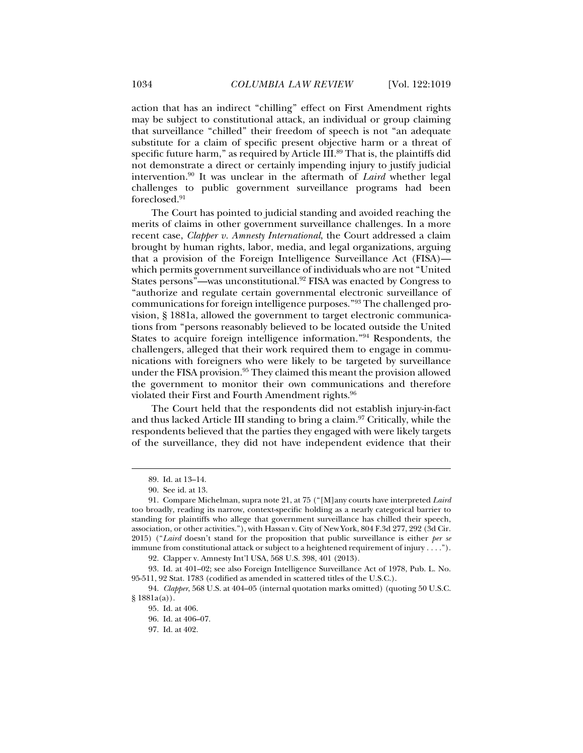action that has an indirect "chilling" effect on First Amendment rights may be subject to constitutional attack, an individual or group claiming that surveillance "chilled" their freedom of speech is not "an adequate substitute for a claim of specific present objective harm or a threat of specific future harm," as required by Article III.<sup>89</sup> That is, the plaintiffs did not demonstrate a direct or certainly impending injury to justify judicial intervention.90 It was unclear in the aftermath of *Laird* whether legal challenges to public government surveillance programs had been foreclosed.91

The Court has pointed to judicial standing and avoided reaching the merits of claims in other government surveillance challenges. In a more recent case, *Clapper v. Amnesty International*, the Court addressed a claim brought by human rights, labor, media, and legal organizations, arguing that a provision of the Foreign Intelligence Surveillance Act (FISA) which permits government surveillance of individuals who are not "United States persons"—was unconstitutional.<sup>92</sup> FISA was enacted by Congress to "authorize and regulate certain governmental electronic surveillance of communications for foreign intelligence purposes."93 The challenged provision, § 1881a, allowed the government to target electronic communications from "persons reasonably believed to be located outside the United States to acquire foreign intelligence information."94 Respondents, the challengers, alleged that their work required them to engage in communications with foreigners who were likely to be targeted by surveillance under the FISA provision.95 They claimed this meant the provision allowed the government to monitor their own communications and therefore violated their First and Fourth Amendment rights.<sup>96</sup>

The Court held that the respondents did not establish injury-in-fact and thus lacked Article III standing to bring a claim.97 Critically, while the respondents believed that the parties they engaged with were likely targets of the surveillance, they did not have independent evidence that their

 <sup>89.</sup> Id. at 13–14.

 <sup>90.</sup> See id. at 13.

 <sup>91.</sup> Compare Michelman, supra note 21, at 75 ("[M]any courts have interpreted *Laird*  too broadly, reading its narrow, context-specific holding as a nearly categorical barrier to standing for plaintiffs who allege that government surveillance has chilled their speech, association, or other activities."), with Hassan v. City of New York, 804 F.3d 277, 292 (3d Cir. 2015) ("*Laird* doesn't stand for the proposition that public surveillance is either *per se* immune from constitutional attack or subject to a heightened requirement of injury . . . .").

 <sup>92.</sup> Clapper v. Amnesty Int'l USA, 568 U.S. 398, 401 (2013).

 <sup>93.</sup> Id. at 401–02; see also Foreign Intelligence Surveillance Act of 1978, Pub. L. No. 95-511, 92 Stat. 1783 (codified as amended in scattered titles of the U.S.C.).

<sup>94.</sup> *Clapper*, 568 U.S. at 404–05 (internal quotation marks omitted) (quoting 50 U.S.C. § 1881a(a)).

 <sup>95.</sup> Id. at 406.

 <sup>96.</sup> Id. at 406–07.

 <sup>97.</sup> Id. at 402.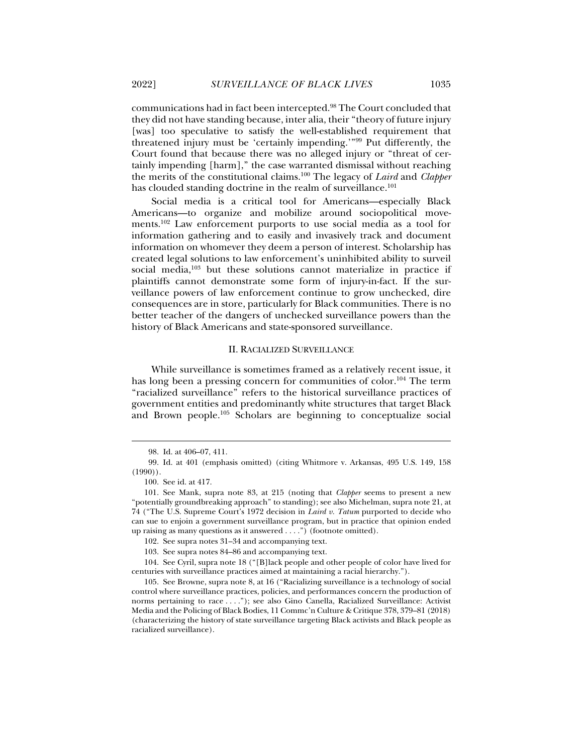communications had in fact been intercepted.98 The Court concluded that they did not have standing because, inter alia, their "theory of future injury [was] too speculative to satisfy the well-established requirement that threatened injury must be 'certainly impending.'"99 Put differently, the Court found that because there was no alleged injury or "threat of certainly impending [harm]," the case warranted dismissal without reaching the merits of the constitutional claims.100 The legacy of *Laird* and *Clapper* has clouded standing doctrine in the realm of surveillance.<sup>101</sup>

Social media is a critical tool for Americans—especially Black Americans—to organize and mobilize around sociopolitical movements.102 Law enforcement purports to use social media as a tool for information gathering and to easily and invasively track and document information on whomever they deem a person of interest. Scholarship has created legal solutions to law enforcement's uninhibited ability to surveil social media,<sup>103</sup> but these solutions cannot materialize in practice if plaintiffs cannot demonstrate some form of injury-in-fact. If the surveillance powers of law enforcement continue to grow unchecked, dire consequences are in store, particularly for Black communities. There is no better teacher of the dangers of unchecked surveillance powers than the history of Black Americans and state-sponsored surveillance.

#### II. RACIALIZED SURVEILLANCE

While surveillance is sometimes framed as a relatively recent issue, it has long been a pressing concern for communities of color.<sup>104</sup> The term "racialized surveillance" refers to the historical surveillance practices of government entities and predominantly white structures that target Black and Brown people.105 Scholars are beginning to conceptualize social

 <sup>98.</sup> Id. at 406–07, 411.

 <sup>99.</sup> Id. at 401 (emphasis omitted) (citing Whitmore v. Arkansas, 495 U.S. 149, 158 (1990)).

 <sup>100.</sup> See id. at 417.

 <sup>101.</sup> See Mank, supra note 83, at 215 (noting that *Clapper* seems to present a new "potentially groundbreaking approach" to standing); see also Michelman, supra note 21, at 74 ("The U.S. Supreme Court's 1972 decision in *Laird v. Tatum* purported to decide who can sue to enjoin a government surveillance program, but in practice that opinion ended up raising as many questions as it answered . . . .") (footnote omitted).

 <sup>102.</sup> See supra notes 31–34 and accompanying text.

 <sup>103.</sup> See supra notes 84–86 and accompanying text.

 <sup>104.</sup> See Cyril, supra note 18 ("[B]lack people and other people of color have lived for centuries with surveillance practices aimed at maintaining a racial hierarchy.").

 <sup>105.</sup> See Browne, supra note 8, at 16 ("Racializing surveillance is a technology of social control where surveillance practices, policies, and performances concern the production of norms pertaining to race . . . ."); see also Gino Canella, Racialized Surveillance: Activist Media and the Policing of Black Bodies, 11 Commc'n Culture & Critique 378, 379–81 (2018) (characterizing the history of state surveillance targeting Black activists and Black people as racialized surveillance).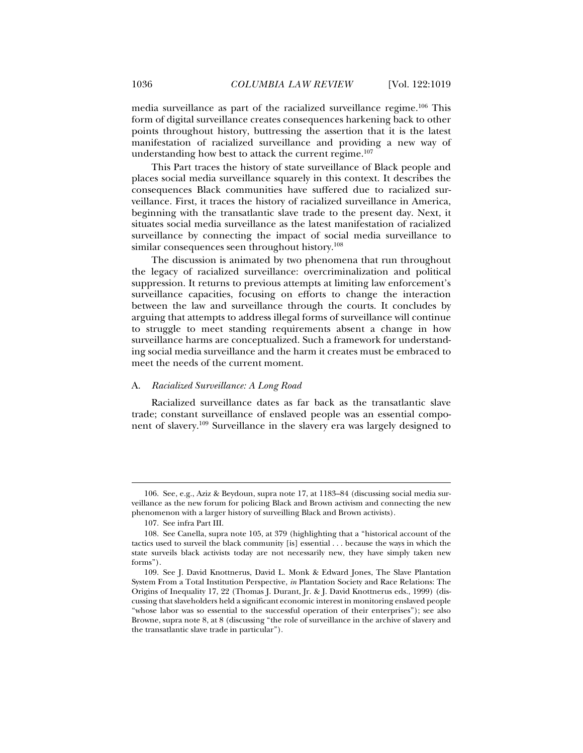media surveillance as part of the racialized surveillance regime.106 This form of digital surveillance creates consequences harkening back to other points throughout history, buttressing the assertion that it is the latest manifestation of racialized surveillance and providing a new way of understanding how best to attack the current regime.<sup>107</sup>

This Part traces the history of state surveillance of Black people and places social media surveillance squarely in this context. It describes the consequences Black communities have suffered due to racialized surveillance. First, it traces the history of racialized surveillance in America, beginning with the transatlantic slave trade to the present day. Next, it situates social media surveillance as the latest manifestation of racialized surveillance by connecting the impact of social media surveillance to similar consequences seen throughout history.<sup>108</sup>

The discussion is animated by two phenomena that run throughout the legacy of racialized surveillance: overcriminalization and political suppression. It returns to previous attempts at limiting law enforcement's surveillance capacities, focusing on efforts to change the interaction between the law and surveillance through the courts. It concludes by arguing that attempts to address illegal forms of surveillance will continue to struggle to meet standing requirements absent a change in how surveillance harms are conceptualized. Such a framework for understanding social media surveillance and the harm it creates must be embraced to meet the needs of the current moment.

#### A. *Racialized Surveillance: A Long Road*

Racialized surveillance dates as far back as the transatlantic slave trade; constant surveillance of enslaved people was an essential component of slavery.109 Surveillance in the slavery era was largely designed to

 <sup>106.</sup> See, e.g., Aziz & Beydoun, supra note 17, at 1183–84 (discussing social media surveillance as the new forum for policing Black and Brown activism and connecting the new phenomenon with a larger history of surveilling Black and Brown activists).

 <sup>107.</sup> See infra Part III.

 <sup>108.</sup> See Canella, supra note 105, at 379 (highlighting that a "historical account of the tactics used to surveil the black community [is] essential . . . because the ways in which the state surveils black activists today are not necessarily new, they have simply taken new forms").

 <sup>109.</sup> See J. David Knottnerus, David L. Monk & Edward Jones, The Slave Plantation System From a Total Institution Perspective, *in* Plantation Society and Race Relations: The Origins of Inequality 17, 22 (Thomas J. Durant, Jr. & J. David Knottnerus eds., 1999) (discussing that slaveholders held a significant economic interest in monitoring enslaved people "whose labor was so essential to the successful operation of their enterprises"); see also Browne, supra note 8, at 8 (discussing "the role of surveillance in the archive of slavery and the transatlantic slave trade in particular").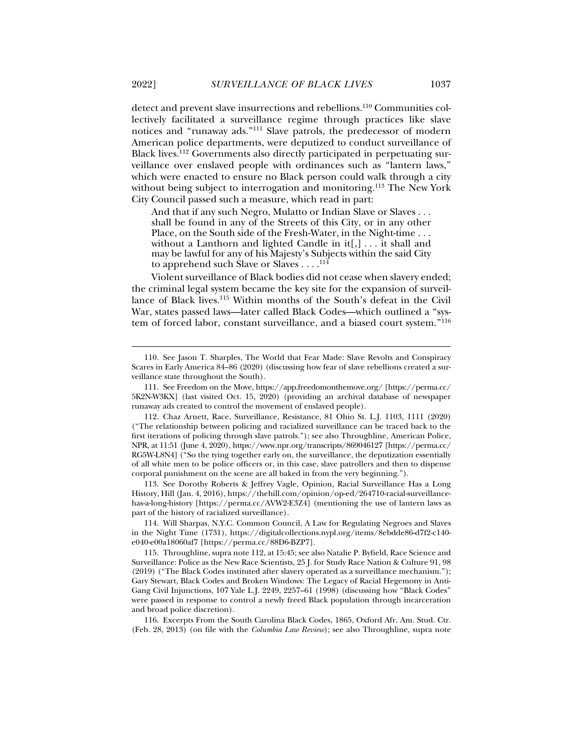detect and prevent slave insurrections and rebellions.110 Communities collectively facilitated a surveillance regime through practices like slave notices and "runaway ads."111 Slave patrols, the predecessor of modern American police departments, were deputized to conduct surveillance of Black lives.112 Governments also directly participated in perpetuating surveillance over enslaved people with ordinances such as "lantern laws," which were enacted to ensure no Black person could walk through a city without being subject to interrogation and monitoring.<sup>113</sup> The New York City Council passed such a measure, which read in part:

And that if any such Negro, Mulatto or Indian Slave or Slaves . . . shall be found in any of the Streets of this City, or in any other Place, on the South side of the Fresh-Water, in the Night-time . . . without a Lanthorn and lighted Candle in it[,] . . . it shall and may be lawful for any of his Majesty's Subjects within the said City to apprehend such Slave or Slaves . . . .<sup>114</sup>

Violent surveillance of Black bodies did not cease when slavery ended; the criminal legal system became the key site for the expansion of surveillance of Black lives.115 Within months of the South's defeat in the Civil War, states passed laws—later called Black Codes—which outlined a "system of forced labor, constant surveillance, and a biased court system."<sup>116</sup>

 113. See Dorothy Roberts & Jeffrey Vagle, Opinion, Racial Surveillance Has a Long History, Hill (Jan. 4, 2016), https://thehill.com/opinion/op-ed/264710-racial-surveillancehas-a-long-history [https://perma.cc/AVW2-E3Z4] (mentioning the use of lantern laws as part of the history of racialized surveillance).

 114. Will Sharpas, N.Y.C. Common Council, A Law for Regulating Negroes and Slaves in the Night Time (1731), https://digitalcollections.nypl.org/items/8ebdde86-d7f2-c140 e040-e00a18060af7 [https://perma.cc/88D6-BZP7].

 116. Excerpts From the South Carolina Black Codes, 1865, Oxford Afr. Am. Stud. Ctr. (Feb. 28, 2013) (on file with the *Columbia Law Review*); see also Throughline, supra note

 <sup>110.</sup> See Jason T. Sharples, The World that Fear Made: Slave Revolts and Conspiracy Scares in Early America 84–86 (2020) (discussing how fear of slave rebellions created a surveillance state throughout the South).

 <sup>111.</sup> See Freedom on the Move, https://app.freedomonthemove.org/ [https://perma.cc/ 5K2N-W3KX] (last visited Oct. 15, 2020) (providing an archival database of newspaper runaway ads created to control the movement of enslaved people).

 <sup>112.</sup> Chaz Arnett, Race, Surveillance, Resistance, 81 Ohio St. L.J. 1103, 1111 (2020) ("The relationship between policing and racialized surveillance can be traced back to the first iterations of policing through slave patrols."); see also Throughline, American Police, NPR, at 11:51 (June 4, 2020), https://www.npr.org/transcripts/869046127 [https://perma.cc/ RG5W-L8N4] ("So the tying together early on, the surveillance, the deputization essentially of all white men to be police officers or, in this case, slave patrollers and then to dispense corporal punishment on the scene are all baked in from the very beginning.").

 <sup>115.</sup> Throughline, supra note 112, at 15:45; see also Natalie P. Byfield, Race Science and Surveillance: Police as the New Race Scientists, 25 J. for Study Race Nation & Culture 91, 98 (2019) ("The Black Codes instituted after slavery operated as a surveillance mechanism."); Gary Stewart, Black Codes and Broken Windows: The Legacy of Racial Hegemony in Anti-Gang Civil Injunctions, 107 Yale L.J. 2249, 2257–61 (1998) (discussing how "Black Codes" were passed in response to control a newly freed Black population through incarceration and broad police discretion).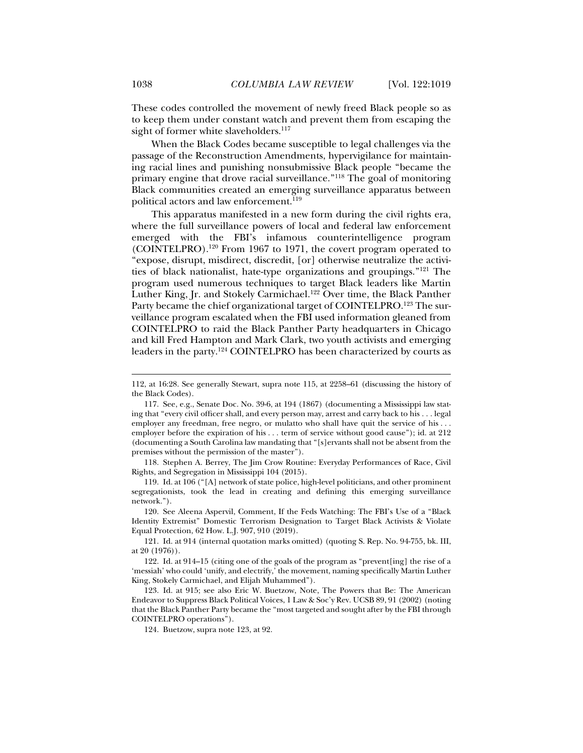These codes controlled the movement of newly freed Black people so as to keep them under constant watch and prevent them from escaping the sight of former white slaveholders.<sup>117</sup>

When the Black Codes became susceptible to legal challenges via the passage of the Reconstruction Amendments, hypervigilance for maintaining racial lines and punishing nonsubmissive Black people "became the primary engine that drove racial surveillance."<sup>118</sup> The goal of monitoring Black communities created an emerging surveillance apparatus between political actors and law enforcement.<sup>119</sup>

This apparatus manifested in a new form during the civil rights era, where the full surveillance powers of local and federal law enforcement emerged with the FBI's infamous counterintelligence program  $(COINTELPRO).$ <sup>120</sup> From 1967 to 1971, the covert program operated to "expose, disrupt, misdirect, discredit, [or] otherwise neutralize the activities of black nationalist, hate-type organizations and groupings."121 The program used numerous techniques to target Black leaders like Martin Luther King, Jr. and Stokely Carmichael.<sup>122</sup> Over time, the Black Panther Party became the chief organizational target of COINTELPRO.<sup>123</sup> The surveillance program escalated when the FBI used information gleaned from COINTELPRO to raid the Black Panther Party headquarters in Chicago and kill Fred Hampton and Mark Clark, two youth activists and emerging leaders in the party.124 COINTELPRO has been characterized by courts as

 118. Stephen A. Berrey, The Jim Crow Routine: Everyday Performances of Race, Civil Rights, and Segregation in Mississippi 104 (2015).

 119. Id. at 106 ("[A] network of state police, high-level politicians, and other prominent segregationists, took the lead in creating and defining this emerging surveillance network.").

 120. See Aleena Aspervil, Comment, If the Feds Watching: The FBI's Use of a "Black Identity Extremist" Domestic Terrorism Designation to Target Black Activists & Violate Equal Protection, 62 How. L.J. 907, 910 (2019).

 121. Id. at 914 (internal quotation marks omitted) (quoting S. Rep. No. 94-755, bk. III, at 20 (1976)).

 122. Id. at 914–15 (citing one of the goals of the program as "prevent[ing] the rise of a 'messiah' who could 'unify, and electrify,' the movement, naming specifically Martin Luther King, Stokely Carmichael, and Elijah Muhammed").

 123. Id. at 915; see also Eric W. Buetzow, Note, The Powers that Be: The American Endeavor to Suppress Black Political Voices, 1 Law & Soc'y Rev. UCSB 89, 91 (2002) (noting that the Black Panther Party became the "most targeted and sought after by the FBI through COINTELPRO operations").

124. Buetzow, supra note 123, at 92.

<sup>112,</sup> at 16:28. See generally Stewart, supra note 115, at 2258–61 (discussing the history of the Black Codes).

 <sup>117.</sup> See, e.g., Senate Doc. No. 39-6, at 194 (1867) (documenting a Mississippi law stating that "every civil officer shall, and every person may, arrest and carry back to his . . . legal employer any freedman, free negro, or mulatto who shall have quit the service of his . . . employer before the expiration of his . . . term of service without good cause"); id. at 212 (documenting a South Carolina law mandating that "[s]ervants shall not be absent from the premises without the permission of the master").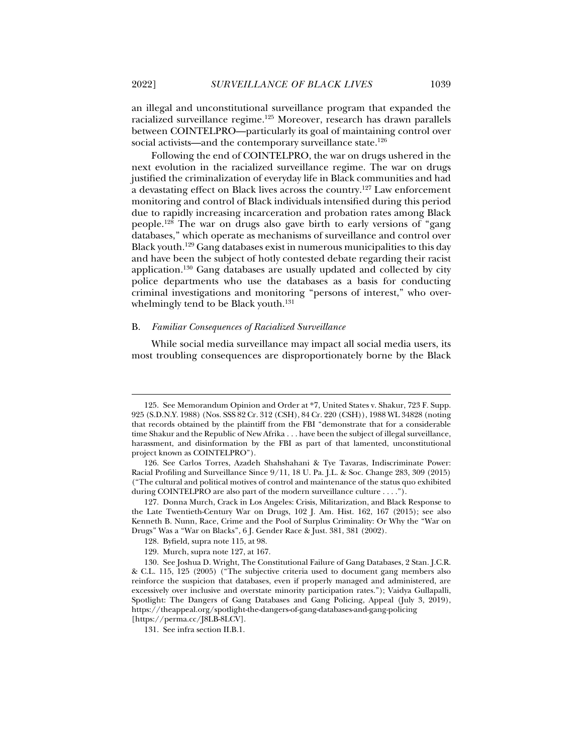an illegal and unconstitutional surveillance program that expanded the racialized surveillance regime.125 Moreover, research has drawn parallels between COINTELPRO—particularly its goal of maintaining control over social activists—and the contemporary surveillance state.<sup>126</sup>

Following the end of COINTELPRO, the war on drugs ushered in the next evolution in the racialized surveillance regime. The war on drugs justified the criminalization of everyday life in Black communities and had a devastating effect on Black lives across the country.<sup>127</sup> Law enforcement monitoring and control of Black individuals intensified during this period due to rapidly increasing incarceration and probation rates among Black people.128 The war on drugs also gave birth to early versions of "gang databases," which operate as mechanisms of surveillance and control over Black youth.129 Gang databases exist in numerous municipalities to this day and have been the subject of hotly contested debate regarding their racist application.130 Gang databases are usually updated and collected by city police departments who use the databases as a basis for conducting criminal investigations and monitoring "persons of interest," who overwhelmingly tend to be Black youth.<sup>131</sup>

#### B. *Familiar Consequences of Racialized Surveillance*

While social media surveillance may impact all social media users, its most troubling consequences are disproportionately borne by the Black

 <sup>125.</sup> See Memorandum Opinion and Order at \*7, United States v. Shakur, 723 F. Supp. 925 (S.D.N.Y. 1988) (Nos. SSS 82 Cr. 312 (CSH), 84 Cr. 220 (CSH)), 1988 WL 34828 (noting that records obtained by the plaintiff from the FBI "demonstrate that for a considerable time Shakur and the Republic of New Afrika . . . have been the subject of illegal surveillance, harassment, and disinformation by the FBI as part of that lamented, unconstitutional project known as COINTELPRO").

 <sup>126.</sup> See Carlos Torres, Azadeh Shahshahani & Tye Tavaras, Indiscriminate Power: Racial Profiling and Surveillance Since 9/11, 18 U. Pa. J.L. & Soc. Change 283, 309 (2015) ("The cultural and political motives of control and maintenance of the status quo exhibited during COINTELPRO are also part of the modern surveillance culture . . . .").

 <sup>127.</sup> Donna Murch, Crack in Los Angeles: Crisis, Militarization, and Black Response to the Late Twentieth-Century War on Drugs, 102 J. Am. Hist. 162, 167 (2015); see also Kenneth B. Nunn, Race, Crime and the Pool of Surplus Criminality: Or Why the "War on Drugs" Was a "War on Blacks", 6 J. Gender Race & Just. 381, 381 (2002).

 <sup>128.</sup> Byfield, supra note 115, at 98.

 <sup>129.</sup> Murch, supra note 127, at 167.

 <sup>130.</sup> See Joshua D. Wright, The Constitutional Failure of Gang Databases, 2 Stan. J.C.R. & C.L. 115, 125 (2005) ("The subjective criteria used to document gang members also reinforce the suspicion that databases, even if properly managed and administered, are excessively over inclusive and overstate minority participation rates."); Vaidya Gullapalli, Spotlight: The Dangers of Gang Databases and Gang Policing, Appeal (July 3, 2019), https://theappeal.org/spotlight-the-dangers-of-gang-databases-and-gang-policing [https://perma.cc/J8LB-8LCV].

 <sup>131.</sup> See infra section II.B.1.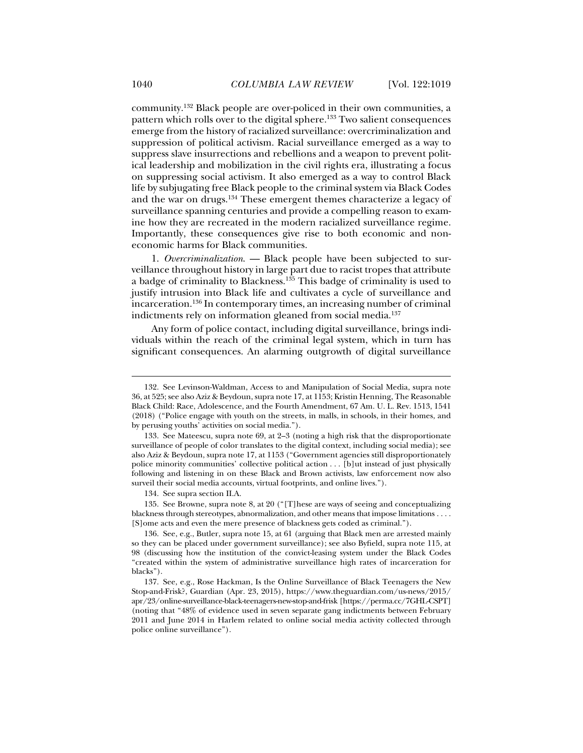community.132 Black people are over-policed in their own communities, a pattern which rolls over to the digital sphere.<sup>133</sup> Two salient consequences emerge from the history of racialized surveillance: overcriminalization and suppression of political activism. Racial surveillance emerged as a way to suppress slave insurrections and rebellions and a weapon to prevent political leadership and mobilization in the civil rights era, illustrating a focus on suppressing social activism. It also emerged as a way to control Black life by subjugating free Black people to the criminal system via Black Codes and the war on drugs.134 These emergent themes characterize a legacy of surveillance spanning centuries and provide a compelling reason to examine how they are recreated in the modern racialized surveillance regime. Importantly, these consequences give rise to both economic and noneconomic harms for Black communities.

1. *Overcriminalization*. — Black people have been subjected to surveillance throughout history in large part due to racist tropes that attribute a badge of criminality to Blackness.135 This badge of criminality is used to justify intrusion into Black life and cultivates a cycle of surveillance and incarceration.136 In contemporary times, an increasing number of criminal indictments rely on information gleaned from social media.<sup>137</sup>

Any form of police contact, including digital surveillance, brings individuals within the reach of the criminal legal system, which in turn has significant consequences. An alarming outgrowth of digital surveillance

134. See supra section II.A.

 135. See Browne, supra note 8, at 20 ("[T]hese are ways of seeing and conceptualizing blackness through stereotypes, abnormalization, and other means that impose limitations . . . . [S]ome acts and even the mere presence of blackness gets coded as criminal.").

 136. See, e.g., Butler, supra note 15, at 61 (arguing that Black men are arrested mainly so they can be placed under government surveillance); see also Byfield, supra note 115, at 98 (discussing how the institution of the convict-leasing system under the Black Codes "created within the system of administrative surveillance high rates of incarceration for blacks").

 <sup>132.</sup> See Levinson-Waldman, Access to and Manipulation of Social Media, supra note 36, at 525; see also Aziz & Beydoun, supra note 17, at 1153; Kristin Henning, The Reasonable Black Child: Race, Adolescence, and the Fourth Amendment, 67 Am. U. L. Rev. 1513, 1541 (2018) ("Police engage with youth on the streets, in malls, in schools, in their homes, and by perusing youths' activities on social media.").

 <sup>133.</sup> See Mateescu, supra note 69, at 2–3 (noting a high risk that the disproportionate surveillance of people of color translates to the digital context, including social media); see also Aziz & Beydoun, supra note 17, at 1153 ("Government agencies still disproportionately police minority communities' collective political action . . . [b]ut instead of just physically following and listening in on these Black and Brown activists, law enforcement now also surveil their social media accounts, virtual footprints, and online lives.").

 <sup>137.</sup> See, e.g., Rose Hackman, Is the Online Surveillance of Black Teenagers the New Stop-and-Frisk?, Guardian (Apr. 23, 2015), https://www.theguardian.com/us-news/2015/ apr/23/online-surveillance-black-teenagers-new-stop-and-frisk [https://perma.cc/7GHL-CSPT] (noting that "48% of evidence used in seven separate gang indictments between February 2011 and June 2014 in Harlem related to online social media activity collected through police online surveillance").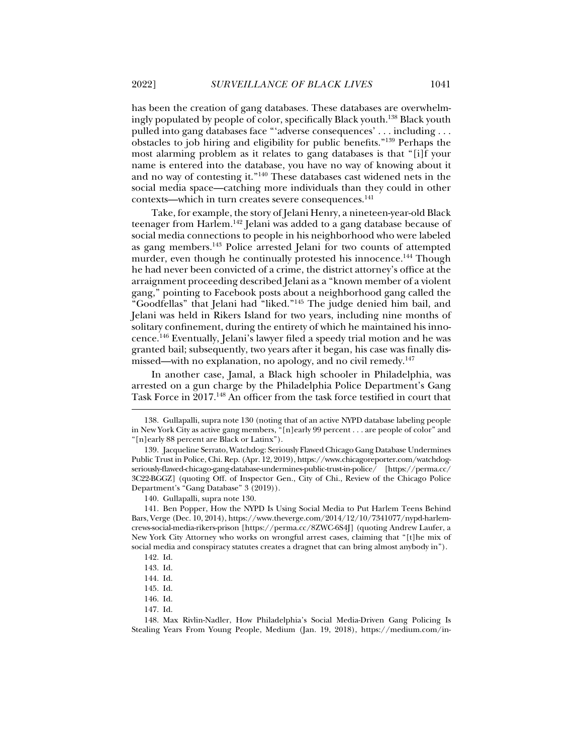has been the creation of gang databases. These databases are overwhelmingly populated by people of color, specifically Black youth.138 Black youth pulled into gang databases face "'adverse consequences' . . . including . . . obstacles to job hiring and eligibility for public benefits."139 Perhaps the most alarming problem as it relates to gang databases is that "[i]f your name is entered into the database, you have no way of knowing about it and no way of contesting it."140 These databases cast widened nets in the social media space—catching more individuals than they could in other contexts—which in turn creates severe consequences.<sup>141</sup>

Take, for example, the story of Jelani Henry, a nineteen-year-old Black teenager from Harlem.142 Jelani was added to a gang database because of social media connections to people in his neighborhood who were labeled as gang members.143 Police arrested Jelani for two counts of attempted murder, even though he continually protested his innocence.<sup>144</sup> Though he had never been convicted of a crime, the district attorney's office at the arraignment proceeding described Jelani as a "known member of a violent gang," pointing to Facebook posts about a neighborhood gang called the "Goodfellas" that Jelani had "liked."145 The judge denied him bail, and Jelani was held in Rikers Island for two years, including nine months of solitary confinement, during the entirety of which he maintained his innocence.146 Eventually, Jelani's lawyer filed a speedy trial motion and he was granted bail; subsequently, two years after it began, his case was finally dismissed—with no explanation, no apology, and no civil remedy.<sup>147</sup>

In another case, Jamal, a Black high schooler in Philadelphia, was arrested on a gun charge by the Philadelphia Police Department's Gang Task Force in 2017.148 An officer from the task force testified in court that

 <sup>138.</sup> Gullapalli, supra note 130 (noting that of an active NYPD database labeling people in New York City as active gang members, "[n]early 99 percent . . . are people of color" and "[n]early 88 percent are Black or Latinx").

 <sup>139.</sup> Jacqueline Serrato, Watchdog: Seriously Flawed Chicago Gang Database Undermines Public Trust in Police, Chi. Rep. (Apr. 12, 2019), https://www.chicagoreporter.com/watchdogseriously-flawed-chicago-gang-database-undermines-public-trust-in-police/ [https://perma.cc/ 3C22-BGGZ] (quoting Off. of Inspector Gen., City of Chi., Review of the Chicago Police Department's "Gang Database" 3 (2019)).

 <sup>140.</sup> Gullapalli, supra note 130.

 <sup>141.</sup> Ben Popper, How the NYPD Is Using Social Media to Put Harlem Teens Behind Bars, Verge (Dec. 10, 2014), https://www.theverge.com/2014/12/10/7341077/nypd-harlemcrews-social-media-rikers-prison [https://perma.cc/8ZWC-6S4J] (quoting Andrew Laufer, a New York City Attorney who works on wrongful arrest cases, claiming that "[t]he mix of social media and conspiracy statutes creates a dragnet that can bring almost anybody in").

 <sup>142.</sup> Id.

 <sup>143.</sup> Id.

 <sup>144.</sup> Id.

 <sup>145.</sup> Id.

 <sup>146.</sup> Id.

 <sup>147.</sup> Id.

 <sup>148.</sup> Max Rivlin-Nadler, How Philadelphia's Social Media-Driven Gang Policing Is Stealing Years From Young People, Medium (Jan. 19, 2018), https://medium.com/in-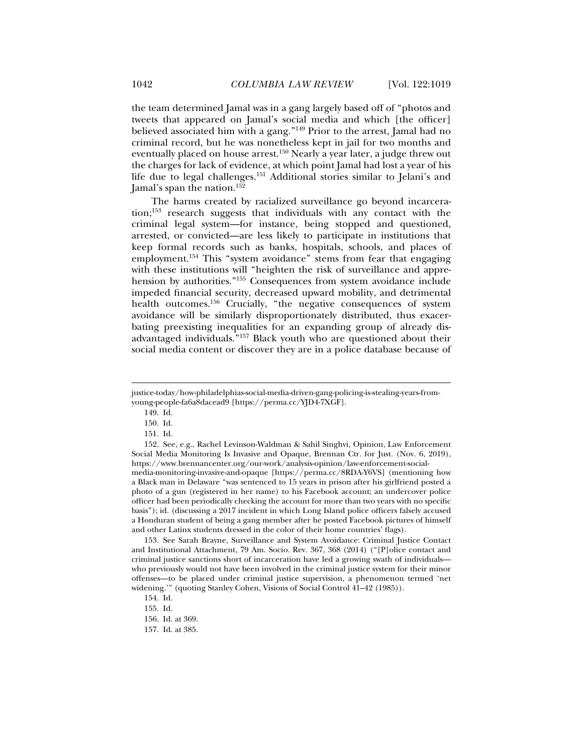the team determined Jamal was in a gang largely based off of "photos and tweets that appeared on Jamal's social media and which [the officer] believed associated him with a gang."149 Prior to the arrest, Jamal had no criminal record, but he was nonetheless kept in jail for two months and eventually placed on house arrest.<sup>150</sup> Nearly a year later, a judge threw out the charges for lack of evidence, at which point Jamal had lost a year of his life due to legal challenges.151 Additional stories similar to Jelani's and Jamal's span the nation.152

The harms created by racialized surveillance go beyond incarcera- $\mu$ <sub>153</sub> research suggests that individuals with any contact with the criminal legal system—for instance, being stopped and questioned, arrested, or convicted—are less likely to participate in institutions that keep formal records such as banks, hospitals, schools, and places of employment.<sup>154</sup> This "system avoidance" stems from fear that engaging with these institutions will "heighten the risk of surveillance and apprehension by authorities."155 Consequences from system avoidance include impeded financial security, decreased upward mobility, and detrimental health outcomes.<sup>156</sup> Crucially, "the negative consequences of system avoidance will be similarly disproportionately distributed, thus exacerbating preexisting inequalities for an expanding group of already disadvantaged individuals."157 Black youth who are questioned about their social media content or discover they are in a police database because of

j

 153. See Sarah Brayne, Surveillance and System Avoidance: Criminal Justice Contact and Institutional Attachment, 79 Am. Socio. Rev. 367, 368 (2014) ("[P]olice contact and criminal justice sanctions short of incarceration have led a growing swath of individuals who previously would not have been involved in the criminal justice system for their minor offenses—to be placed under criminal justice supervision, a phenomenon termed 'net widening.'" (quoting Stanley Cohen, Visions of Social Control 41–42 (1985)).

157. Id. at 385.

justice-today/how-philadelphias-social-media-driven-gang-policing-is-stealing-years-fromyoung-people-fa6a8dacead9 [https://perma.cc/YJD4-7XGF].

 <sup>149.</sup> Id.

 <sup>150.</sup> Id.

 <sup>151.</sup> Id.

 <sup>152.</sup> See, e.g., Rachel Levinson-Waldman & Sahil Singhvi, Opinion, Law Enforcement Social Media Monitoring Is Invasive and Opaque, Brennan Ctr. for Just. (Nov. 6, 2019), https://www.brennancenter.org/our-work/analysis-opinion/law-enforcement-socialmedia-monitoring-invasive-and-opaque [https://perma.cc/8RDA-Y6VS] (mentioning how a Black man in Delaware "was sentenced to 15 years in prison after his girlfriend posted a photo of a gun (registered in her name) to his Facebook account; an undercover police officer had been periodically checking the account for more than two years with no specific basis"); id. (discussing a 2017 incident in which Long Island police officers falsely accused a Honduran student of being a gang member after he posted Facebook pictures of himself and other Latinx students dressed in the color of their home countries' flags).

 <sup>154.</sup> Id.

 <sup>155.</sup> Id.

 <sup>156.</sup> Id. at 369.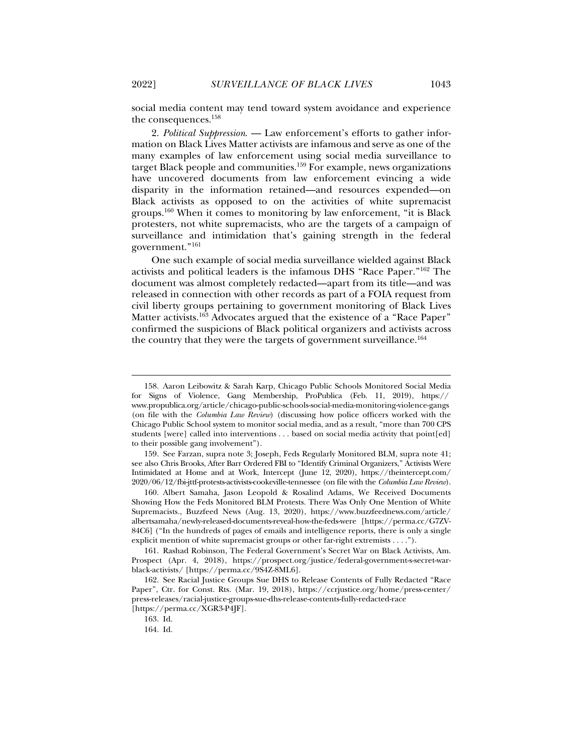social media content may tend toward system avoidance and experience the consequences.158

2. *Political Suppression*. — Law enforcement's efforts to gather information on Black Lives Matter activists are infamous and serve as one of the many examples of law enforcement using social media surveillance to target Black people and communities.<sup>159</sup> For example, news organizations have uncovered documents from law enforcement evincing a wide disparity in the information retained—and resources expended—on Black activists as opposed to on the activities of white supremacist groups.160 When it comes to monitoring by law enforcement, "it is Black protesters, not white supremacists, who are the targets of a campaign of surveillance and intimidation that's gaining strength in the federal government."161

One such example of social media surveillance wielded against Black activists and political leaders is the infamous DHS "Race Paper."162 The document was almost completely redacted—apart from its title—and was released in connection with other records as part of a FOIA request from civil liberty groups pertaining to government monitoring of Black Lives Matter activists.<sup>163</sup> Advocates argued that the existence of a "Race Paper" confirmed the suspicions of Black political organizers and activists across the country that they were the targets of government surveillance.<sup>164</sup>

 159. See Farzan, supra note 3; Joseph, Feds Regularly Monitored BLM, supra note 41; see also Chris Brooks, After Barr Ordered FBI to "Identify Criminal Organizers," Activists Were Intimidated at Home and at Work, Intercept (June 12, 2020), https://theintercept.com/ 2020/06/12/fbi-jttf-protests-activists-cookeville-tennessee (on file with the *Columbia Law Review*).

 160. Albert Samaha, Jason Leopold & Rosalind Adams, We Received Documents Showing How the Feds Monitored BLM Protests. There Was Only One Mention of White Supremacists., Buzzfeed News (Aug. 13, 2020), https://www.buzzfeednews.com/article/ albertsamaha/newly-released-documents-reveal-how-the-feds-were [https://perma.cc/G7ZV-84C6] ("In the hundreds of pages of emails and intelligence reports, there is only a single explicit mention of white supremacist groups or other far-right extremists . . . .").

 <sup>158.</sup> Aaron Leibowitz & Sarah Karp, Chicago Public Schools Monitored Social Media for Signs of Violence, Gang Membership, ProPublica (Feb. 11, 2019), https:// www.propublica.org/article/chicago-public-schools-social-media-monitoring-violence-gangs (on file with the *Columbia Law Review*) (discussing how police officers worked with the Chicago Public School system to monitor social media, and as a result, "more than 700 CPS students [were] called into interventions . . . based on social media activity that point[ed] to their possible gang involvement").

 <sup>161.</sup> Rashad Robinson, The Federal Government's Secret War on Black Activists, Am. Prospect (Apr. 4, 2018), https://prospect.org/justice/federal-government-s-secret-warblack-activists/ [https://perma.cc/9S4Z-8ML6].

 <sup>162.</sup> See Racial Justice Groups Sue DHS to Release Contents of Fully Redacted "Race Paper", Ctr. for Const. Rts. (Mar. 19, 2018), https://ccrjustice.org/home/press-center/ press-releases/racial-justice-groups-sue-dhs-release-contents-fully-redacted-race

<sup>[</sup>https://perma.cc/XGR3-P4JF].

 <sup>163.</sup> Id.

 <sup>164.</sup> Id.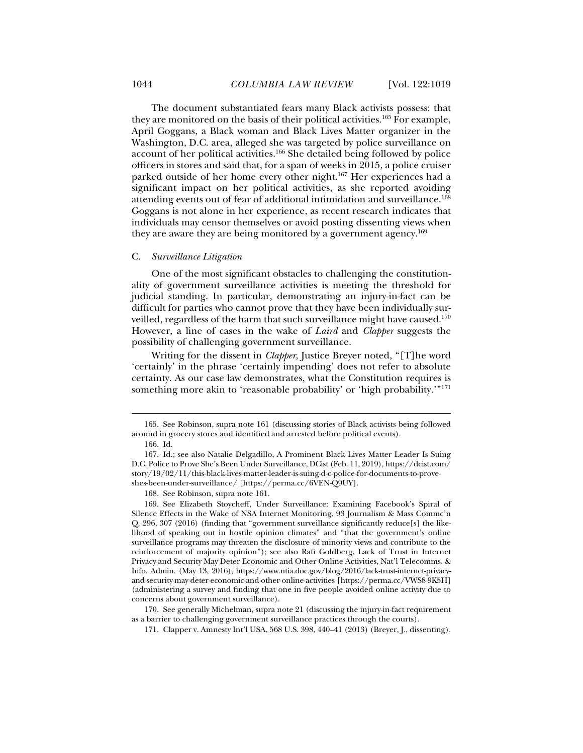The document substantiated fears many Black activists possess: that they are monitored on the basis of their political activities.165 For example, April Goggans, a Black woman and Black Lives Matter organizer in the Washington, D.C. area, alleged she was targeted by police surveillance on account of her political activities.166 She detailed being followed by police officers in stores and said that, for a span of weeks in 2015, a police cruiser parked outside of her home every other night.167 Her experiences had a significant impact on her political activities, as she reported avoiding attending events out of fear of additional intimidation and surveillance.168 Goggans is not alone in her experience, as recent research indicates that individuals may censor themselves or avoid posting dissenting views when they are aware they are being monitored by a government agency.169

## C. *Surveillance Litigation*

One of the most significant obstacles to challenging the constitutionality of government surveillance activities is meeting the threshold for judicial standing. In particular, demonstrating an injury-in-fact can be difficult for parties who cannot prove that they have been individually surveilled, regardless of the harm that such surveillance might have caused.<sup>170</sup> However, a line of cases in the wake of *Laird* and *Clapper* suggests the possibility of challenging government surveillance.

Writing for the dissent in *Clapper*, Justice Breyer noted, "[T]he word 'certainly' in the phrase 'certainly impending' does not refer to absolute certainty. As our case law demonstrates, what the Constitution requires is something more akin to 'reasonable probability' or 'high probability.'"<sup>171</sup>

 <sup>165.</sup> See Robinson, supra note 161 (discussing stories of Black activists being followed around in grocery stores and identified and arrested before political events).

 <sup>166.</sup> Id.

 <sup>167.</sup> Id.; see also Natalie Delgadillo, A Prominent Black Lives Matter Leader Is Suing D.C. Police to Prove She's Been Under Surveillance, DCist (Feb. 11, 2019), https://dcist.com/ story/19/02/11/this-black-lives-matter-leader-is-suing-d-c-police-for-documents-to-proveshes-been-under-surveillance/ [https://perma.cc/6VEN-Q9UY].

 <sup>168.</sup> See Robinson, supra note 161.

 <sup>169.</sup> See Elizabeth Stoycheff, Under Surveillance: Examining Facebook's Spiral of Silence Effects in the Wake of NSA Internet Monitoring, 93 Journalism & Mass Commc'n Q. 296, 307 (2016) (finding that "government surveillance significantly reduce[s] the likelihood of speaking out in hostile opinion climates" and "that the government's online surveillance programs may threaten the disclosure of minority views and contribute to the reinforcement of majority opinion"); see also Rafi Goldberg, Lack of Trust in Internet Privacy and Security May Deter Economic and Other Online Activities, Nat'l Telecomms. & Info. Admin. (May 13, 2016), https://www.ntia.doc.gov/blog/2016/lack-trust-internet-privacyand-security-may-deter-economic-and-other-online-activities [https://perma.cc/VWS8-9K5H] (administering a survey and finding that one in five people avoided online activity due to concerns about government surveillance).

 <sup>170.</sup> See generally Michelman, supra note 21 (discussing the injury-in-fact requirement as a barrier to challenging government surveillance practices through the courts).

 <sup>171.</sup> Clapper v. Amnesty Int'l USA, 568 U.S. 398, 440–41 (2013) (Breyer, J., dissenting).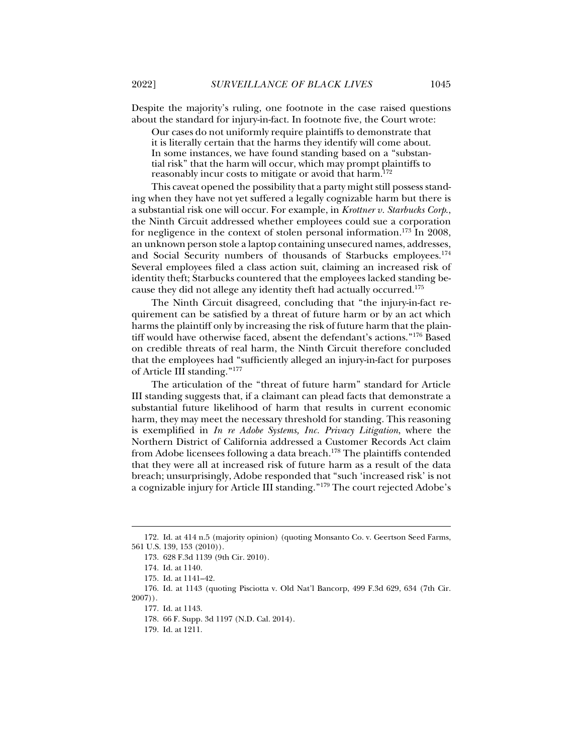Despite the majority's ruling, one footnote in the case raised questions about the standard for injury-in-fact. In footnote five, the Court wrote:

Our cases do not uniformly require plaintiffs to demonstrate that it is literally certain that the harms they identify will come about. In some instances, we have found standing based on a "substantial risk" that the harm will occur, which may prompt plaintiffs to reasonably incur costs to mitigate or avoid that harm.172

This caveat opened the possibility that a party might still possess standing when they have not yet suffered a legally cognizable harm but there is a substantial risk one will occur. For example, in *Krottner v. Starbucks Corp*., the Ninth Circuit addressed whether employees could sue a corporation for negligence in the context of stolen personal information.<sup>173</sup> In 2008, an unknown person stole a laptop containing unsecured names, addresses, and Social Security numbers of thousands of Starbucks employees.<sup>174</sup> Several employees filed a class action suit, claiming an increased risk of identity theft; Starbucks countered that the employees lacked standing because they did not allege any identity theft had actually occurred.175

The Ninth Circuit disagreed, concluding that "the injury-in-fact requirement can be satisfied by a threat of future harm or by an act which harms the plaintiff only by increasing the risk of future harm that the plaintiff would have otherwise faced, absent the defendant's actions."176 Based on credible threats of real harm, the Ninth Circuit therefore concluded that the employees had "sufficiently alleged an injury-in-fact for purposes of Article III standing."177

The articulation of the "threat of future harm" standard for Article III standing suggests that, if a claimant can plead facts that demonstrate a substantial future likelihood of harm that results in current economic harm, they may meet the necessary threshold for standing. This reasoning is exemplified in *In re Adobe Systems, Inc. Privacy Litigation*, where the Northern District of California addressed a Customer Records Act claim from Adobe licensees following a data breach.178 The plaintiffs contended that they were all at increased risk of future harm as a result of the data breach; unsurprisingly, Adobe responded that "such 'increased risk' is not a cognizable injury for Article III standing."179 The court rejected Adobe's

<sup>172.</sup> Id. at 414 n.5 (majority opinion) (quoting Monsanto Co. v. Geertson Seed Farms, 561 U.S. 139, 153 (2010)).

 <sup>173. 628</sup> F.3d 1139 (9th Cir. 2010).

 <sup>174.</sup> Id. at 1140.

 <sup>175.</sup> Id. at 1141–42.

 <sup>176.</sup> Id. at 1143 (quoting Pisciotta v. Old Nat'l Bancorp, 499 F.3d 629, 634 (7th Cir. 2007)).

 <sup>177.</sup> Id. at 1143.

 <sup>178. 66</sup> F. Supp. 3d 1197 (N.D. Cal. 2014).

 <sup>179.</sup> Id. at 1211.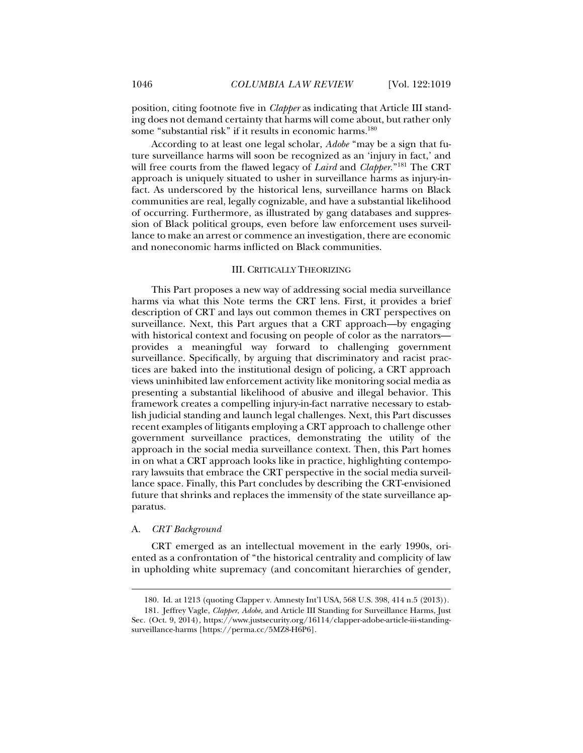position, citing footnote five in *Clapper* as indicating that Article III standing does not demand certainty that harms will come about, but rather only some "substantial risk" if it results in economic harms.<sup>180</sup>

According to at least one legal scholar, *Adobe* "may be a sign that future surveillance harms will soon be recognized as an 'injury in fact,' and will free courts from the flawed legacy of *Laird* and *Clapper*."181 The CRT approach is uniquely situated to usher in surveillance harms as injury-infact. As underscored by the historical lens, surveillance harms on Black communities are real, legally cognizable, and have a substantial likelihood of occurring. Furthermore, as illustrated by gang databases and suppression of Black political groups, even before law enforcement uses surveillance to make an arrest or commence an investigation, there are economic and noneconomic harms inflicted on Black communities.

#### III. CRITICALLY THEORIZING

This Part proposes a new way of addressing social media surveillance harms via what this Note terms the CRT lens. First, it provides a brief description of CRT and lays out common themes in CRT perspectives on surveillance. Next, this Part argues that a CRT approach—by engaging with historical context and focusing on people of color as the narrators provides a meaningful way forward to challenging government surveillance. Specifically, by arguing that discriminatory and racist practices are baked into the institutional design of policing, a CRT approach views uninhibited law enforcement activity like monitoring social media as presenting a substantial likelihood of abusive and illegal behavior. This framework creates a compelling injury-in-fact narrative necessary to establish judicial standing and launch legal challenges. Next, this Part discusses recent examples of litigants employing a CRT approach to challenge other government surveillance practices, demonstrating the utility of the approach in the social media surveillance context. Then, this Part homes in on what a CRT approach looks like in practice, highlighting contemporary lawsuits that embrace the CRT perspective in the social media surveillance space. Finally, this Part concludes by describing the CRT-envisioned future that shrinks and replaces the immensity of the state surveillance apparatus.

#### A. *CRT Background*

j

CRT emerged as an intellectual movement in the early 1990s, oriented as a confrontation of "the historical centrality and complicity of law in upholding white supremacy (and concomitant hierarchies of gender,

 <sup>180.</sup> Id. at 1213 (quoting Clapper v. Amnesty Int'l USA, 568 U.S. 398, 414 n.5 (2013)).

 <sup>181.</sup> Jeffrey Vagle, *Clapper*, *Adobe*, and Article III Standing for Surveillance Harms, Just Sec. (Oct. 9, 2014), https://www.justsecurity.org/16114/clapper-adobe-article-iii-standingsurveillance-harms [https://perma.cc/5MZ8-H6P6].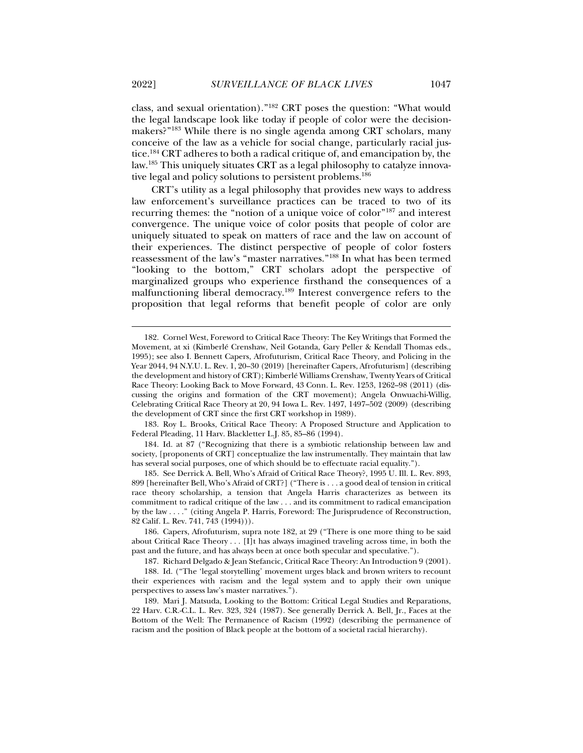class, and sexual orientation)."182 CRT poses the question: "What would the legal landscape look like today if people of color were the decisionmakers?"183 While there is no single agenda among CRT scholars, many conceive of the law as a vehicle for social change, particularly racial justice.184 CRT adheres to both a radical critique of, and emancipation by, the law.185 This uniquely situates CRT as a legal philosophy to catalyze innovative legal and policy solutions to persistent problems.<sup>186</sup>

CRT's utility as a legal philosophy that provides new ways to address law enforcement's surveillance practices can be traced to two of its recurring themes: the "notion of a unique voice of color"187 and interest convergence. The unique voice of color posits that people of color are uniquely situated to speak on matters of race and the law on account of their experiences. The distinct perspective of people of color fosters reassessment of the law's "master narratives."188 In what has been termed "looking to the bottom," CRT scholars adopt the perspective of marginalized groups who experience firsthand the consequences of a malfunctioning liberal democracy.189 Interest convergence refers to the proposition that legal reforms that benefit people of color are only

 183. Roy L. Brooks, Critical Race Theory: A Proposed Structure and Application to Federal Pleading, 11 Harv. Blackletter L.J. 85, 85–86 (1994).

 184. Id. at 87 ("Recognizing that there is a symbiotic relationship between law and society, [proponents of CRT] conceptualize the law instrumentally. They maintain that law has several social purposes, one of which should be to effectuate racial equality.").

 185. See Derrick A. Bell, Who's Afraid of Critical Race Theory?, 1995 U. Ill. L. Rev. 893, 899 [hereinafter Bell, Who's Afraid of CRT?] ("There is . . . a good deal of tension in critical race theory scholarship, a tension that Angela Harris characterizes as between its commitment to radical critique of the law . . . and its commitment to radical emancipation by the law . . . ." (citing Angela P. Harris, Foreword: The Jurisprudence of Reconstruction, 82 Calif. L. Rev. 741, 743 (1994))).

 186. Capers, Afrofuturism, supra note 182, at 29 ("There is one more thing to be said about Critical Race Theory  $\dots$  [I]t has always imagined traveling across time, in both the past and the future, and has always been at once both specular and speculative.").

187. Richard Delgado & Jean Stefancic, Critical Race Theory: An Introduction 9 (2001).

 188. Id. ("The 'legal storytelling' movement urges black and brown writers to recount their experiences with racism and the legal system and to apply their own unique perspectives to assess law's master narratives.").

 189. Mari J. Matsuda, Looking to the Bottom: Critical Legal Studies and Reparations, 22 Harv. C.R.-C.L. L. Rev. 323, 324 (1987). See generally Derrick A. Bell, Jr., Faces at the Bottom of the Well: The Permanence of Racism (1992) (describing the permanence of racism and the position of Black people at the bottom of a societal racial hierarchy).

 <sup>182.</sup> Cornel West, Foreword to Critical Race Theory: The Key Writings that Formed the Movement, at xi (Kimberlé Crenshaw, Neil Gotanda, Gary Peller & Kendall Thomas eds., 1995); see also I. Bennett Capers, Afrofuturism, Critical Race Theory, and Policing in the Year 2044, 94 N.Y.U. L. Rev. 1, 20–30 (2019) [hereinafter Capers, Afrofuturism] (describing the development and history of CRT); Kimberlé Williams Crenshaw, Twenty Years of Critical Race Theory: Looking Back to Move Forward, 43 Conn. L. Rev. 1253, 1262–98 (2011) (discussing the origins and formation of the CRT movement); Angela Onwuachi-Willig, Celebrating Critical Race Theory at 20, 94 Iowa L. Rev. 1497, 1497–502 (2009) (describing the development of CRT since the first CRT workshop in 1989).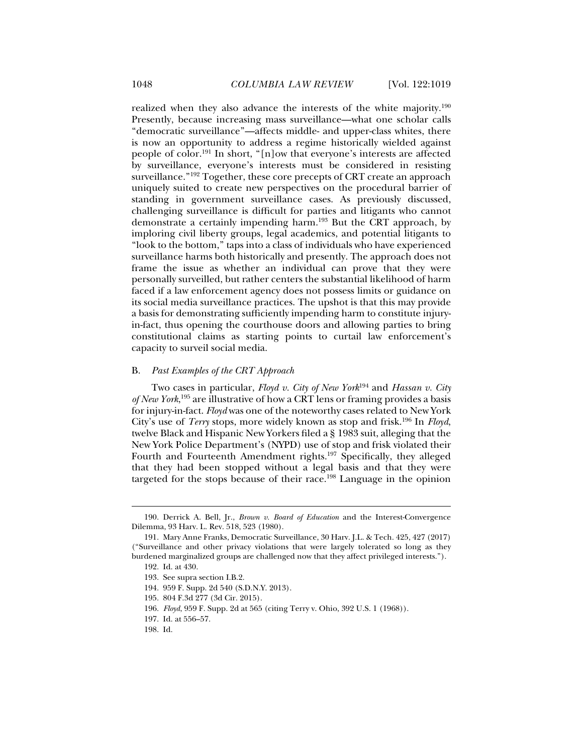realized when they also advance the interests of the white majority.190 Presently, because increasing mass surveillance—what one scholar calls "democratic surveillance"—affects middle- and upper-class whites, there is now an opportunity to address a regime historically wielded against people of color.191 In short, "[n]ow that everyone's interests are affected by surveillance, everyone's interests must be considered in resisting surveillance."192 Together, these core precepts of CRT create an approach uniquely suited to create new perspectives on the procedural barrier of standing in government surveillance cases. As previously discussed, challenging surveillance is difficult for parties and litigants who cannot demonstrate a certainly impending harm.193 But the CRT approach, by imploring civil liberty groups, legal academics, and potential litigants to "look to the bottom," taps into a class of individuals who have experienced surveillance harms both historically and presently. The approach does not frame the issue as whether an individual can prove that they were personally surveilled, but rather centers the substantial likelihood of harm faced if a law enforcement agency does not possess limits or guidance on its social media surveillance practices. The upshot is that this may provide a basis for demonstrating sufficiently impending harm to constitute injuryin-fact, thus opening the courthouse doors and allowing parties to bring constitutional claims as starting points to curtail law enforcement's capacity to surveil social media.

## B. *Past Examples of the CRT Approach*

Two cases in particular, *Floyd v. City of New York*194 and *Hassan v. City of New York*, 195 are illustrative of how a CRT lens or framing provides a basis for injury-in-fact. *Floyd* was one of the noteworthy cases related to New York City's use of *Terry* stops, more widely known as stop and frisk.196 In *Floyd*, twelve Black and Hispanic New Yorkers filed a § 1983 suit, alleging that the New York Police Department's (NYPD) use of stop and frisk violated their Fourth and Fourteenth Amendment rights.197 Specifically, they alleged that they had been stopped without a legal basis and that they were targeted for the stops because of their race.<sup>198</sup> Language in the opinion

 <sup>190.</sup> Derrick A. Bell, Jr., *Brown v. Board of Education* and the Interest-Convergence Dilemma, 93 Harv. L. Rev. 518, 523 (1980).

 <sup>191.</sup> Mary Anne Franks, Democratic Surveillance, 30 Harv. J.L. & Tech. 425, 427 (2017) ("Surveillance and other privacy violations that were largely tolerated so long as they burdened marginalized groups are challenged now that they affect privileged interests.").

 <sup>192.</sup> Id. at 430.

 <sup>193.</sup> See supra section I.B.2.

 <sup>194. 959</sup> F. Supp. 2d 540 (S.D.N.Y. 2013).

 <sup>195. 804</sup> F.3d 277 (3d Cir. 2015).

<sup>196.</sup> *Floyd*, 959 F. Supp. 2d at 565 (citing Terry v. Ohio, 392 U.S. 1 (1968)).

 <sup>197.</sup> Id. at 556–57.

 <sup>198.</sup> Id.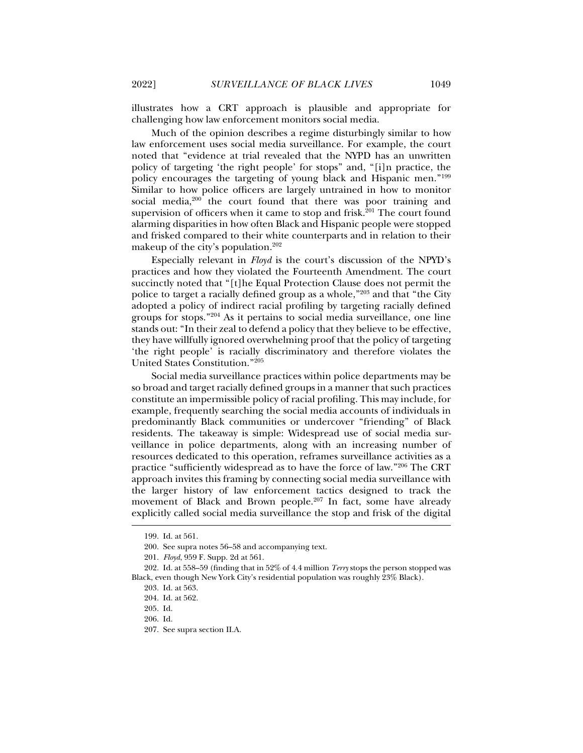illustrates how a CRT approach is plausible and appropriate for challenging how law enforcement monitors social media.

Much of the opinion describes a regime disturbingly similar to how law enforcement uses social media surveillance. For example, the court noted that "evidence at trial revealed that the NYPD has an unwritten policy of targeting 'the right people' for stops" and, "[i]n practice, the policy encourages the targeting of young black and Hispanic men."199 Similar to how police officers are largely untrained in how to monitor social media,<sup>200</sup> the court found that there was poor training and supervision of officers when it came to stop and frisk. $201$  The court found alarming disparities in how often Black and Hispanic people were stopped and frisked compared to their white counterparts and in relation to their makeup of the city's population.<sup>202</sup>

Especially relevant in *Floyd* is the court's discussion of the NPYD's practices and how they violated the Fourteenth Amendment. The court succinctly noted that "[t]he Equal Protection Clause does not permit the police to target a racially defined group as a whole,"203 and that "the City adopted a policy of indirect racial profiling by targeting racially defined groups for stops."204 As it pertains to social media surveillance, one line stands out: "In their zeal to defend a policy that they believe to be effective, they have willfully ignored overwhelming proof that the policy of targeting 'the right people' is racially discriminatory and therefore violates the United States Constitution."205

Social media surveillance practices within police departments may be so broad and target racially defined groups in a manner that such practices constitute an impermissible policy of racial profiling. This may include, for example, frequently searching the social media accounts of individuals in predominantly Black communities or undercover "friending" of Black residents. The takeaway is simple: Widespread use of social media surveillance in police departments, along with an increasing number of resources dedicated to this operation, reframes surveillance activities as a practice "sufficiently widespread as to have the force of law."206 The CRT approach invites this framing by connecting social media surveillance with the larger history of law enforcement tactics designed to track the movement of Black and Brown people.<sup>207</sup> In fact, some have already explicitly called social media surveillance the stop and frisk of the digital

 <sup>199.</sup> Id. at 561.

 <sup>200.</sup> See supra notes 56–58 and accompanying text.

<sup>201.</sup> *Floyd*, 959 F. Supp. 2d at 561.

 <sup>202.</sup> Id. at 558–59 (finding that in 52% of 4.4 million *Terry* stops the person stopped was Black, even though New York City's residential population was roughly 23% Black).

 <sup>203.</sup> Id. at 563.

 <sup>204.</sup> Id. at 562.

 <sup>205.</sup> Id.

 <sup>206.</sup> Id.

 <sup>207.</sup> See supra section II.A.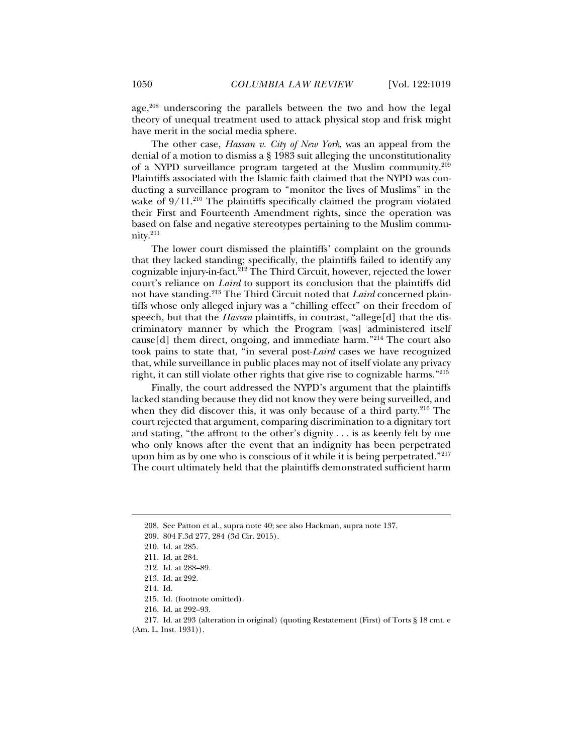age,<sup>208</sup> underscoring the parallels between the two and how the legal theory of unequal treatment used to attack physical stop and frisk might have merit in the social media sphere.

The other case, *Hassan v. City of New York*, was an appeal from the denial of a motion to dismiss a § 1983 suit alleging the unconstitutionality of a NYPD surveillance program targeted at the Muslim community.209 Plaintiffs associated with the Islamic faith claimed that the NYPD was conducting a surveillance program to "monitor the lives of Muslims" in the wake of  $9/11.^{210}$  The plaintiffs specifically claimed the program violated their First and Fourteenth Amendment rights, since the operation was based on false and negative stereotypes pertaining to the Muslim community.211

The lower court dismissed the plaintiffs' complaint on the grounds that they lacked standing; specifically, the plaintiffs failed to identify any cognizable injury-in-fact. ${}^{212}$  The Third Circuit, however, rejected the lower court's reliance on *Laird* to support its conclusion that the plaintiffs did not have standing.213 The Third Circuit noted that *Laird* concerned plaintiffs whose only alleged injury was a "chilling effect" on their freedom of speech, but that the *Hassan* plaintiffs, in contrast, "allege[d] that the discriminatory manner by which the Program [was] administered itself cause[d] them direct, ongoing, and immediate harm."214 The court also took pains to state that, "in several post-*Laird* cases we have recognized that, while surveillance in public places may not of itself violate any privacy right, it can still violate other rights that give rise to cognizable harms."215

Finally, the court addressed the NYPD's argument that the plaintiffs lacked standing because they did not know they were being surveilled, and when they did discover this, it was only because of a third party.<sup>216</sup> The court rejected that argument, comparing discrimination to a dignitary tort and stating, "the affront to the other's dignity . . . is as keenly felt by one who only knows after the event that an indignity has been perpetrated upon him as by one who is conscious of it while it is being perpetrated."217 The court ultimately held that the plaintiffs demonstrated sufficient harm

j

215. Id. (footnote omitted).

 217. Id. at 293 (alteration in original) (quoting Restatement (First) of Torts § 18 cmt. e (Am. L. Inst. 1931)).

 <sup>208.</sup> See Patton et al., supra note 40; see also Hackman, supra note 137.

 <sup>209. 804</sup> F.3d 277, 284 (3d Cir. 2015).

 <sup>210.</sup> Id. at 285.

 <sup>211.</sup> Id. at 284.

 <sup>212.</sup> Id. at 288–89.

 <sup>213.</sup> Id. at 292.

 <sup>214.</sup> Id.

 <sup>216.</sup> Id. at 292–93.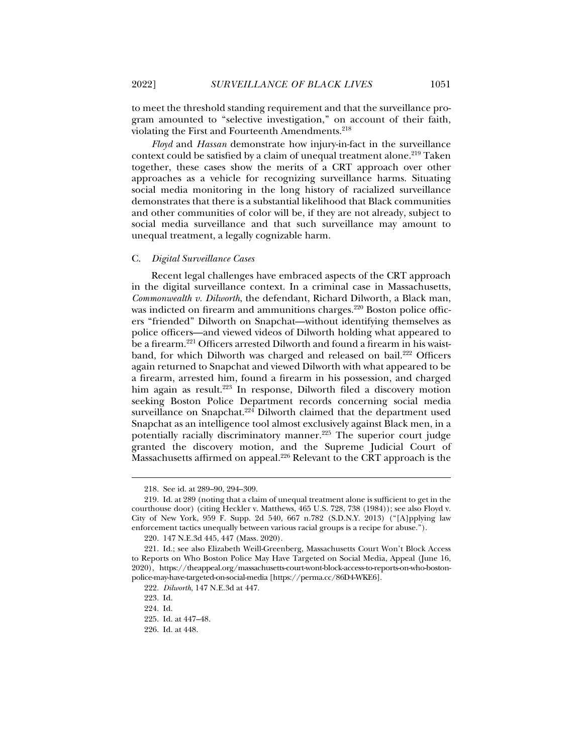to meet the threshold standing requirement and that the surveillance program amounted to "selective investigation," on account of their faith, violating the First and Fourteenth Amendments.<sup>218</sup>

*Floyd* and *Hassan* demonstrate how injury-in-fact in the surveillance context could be satisfied by a claim of unequal treatment alone.<sup>219</sup> Taken together, these cases show the merits of a CRT approach over other approaches as a vehicle for recognizing surveillance harms. Situating social media monitoring in the long history of racialized surveillance demonstrates that there is a substantial likelihood that Black communities and other communities of color will be, if they are not already, subject to social media surveillance and that such surveillance may amount to unequal treatment, a legally cognizable harm.

#### C. *Digital Surveillance Cases*

Recent legal challenges have embraced aspects of the CRT approach in the digital surveillance context. In a criminal case in Massachusetts, *Commonwealth v. Dilworth*, the defendant, Richard Dilworth, a Black man, was indicted on firearm and ammunitions charges.<sup>220</sup> Boston police officers "friended" Dilworth on Snapchat—without identifying themselves as police officers—and viewed videos of Dilworth holding what appeared to be a firearm.<sup>221</sup> Officers arrested Dilworth and found a firearm in his waistband, for which Dilworth was charged and released on bail.<sup>222</sup> Officers again returned to Snapchat and viewed Dilworth with what appeared to be a firearm, arrested him, found a firearm in his possession, and charged him again as result.<sup>223</sup> In response, Dilworth filed a discovery motion seeking Boston Police Department records concerning social media surveillance on Snapchat.<sup>224</sup> Dilworth claimed that the department used Snapchat as an intelligence tool almost exclusively against Black men, in a potentially racially discriminatory manner.<sup>225</sup> The superior court judge granted the discovery motion, and the Supreme Judicial Court of Massachusetts affirmed on appeal.<sup>226</sup> Relevant to the CRT approach is the

 <sup>218.</sup> See id. at 289–90, 294–309.

 <sup>219.</sup> Id. at 289 (noting that a claim of unequal treatment alone is sufficient to get in the courthouse door) (citing Heckler v. Matthews, 465 U.S. 728, 738 (1984)); see also Floyd v. City of New York, 959 F. Supp. 2d 540, 667 n.782 (S.D.N.Y. 2013) ("[A]pplying law enforcement tactics unequally between various racial groups is a recipe for abuse.").

 <sup>220. 147</sup> N.E.3d 445, 447 (Mass. 2020).

 <sup>221.</sup> Id.; see also Elizabeth Weill-Greenberg, Massachusetts Court Won't Block Access to Reports on Who Boston Police May Have Targeted on Social Media, Appeal (June 16, 2020), https://theappeal.org/massachusetts-court-wont-block-access-to-reports-on-who-bostonpolice-may-have-targeted-on-social-media [https://perma.cc/86D4-WKE6].

<sup>222.</sup> *Dilworth*, 147 N.E.3d at 447.

 <sup>223.</sup> Id.

 <sup>224.</sup> Id.

 <sup>225.</sup> Id. at 447–48.

 <sup>226.</sup> Id. at 448.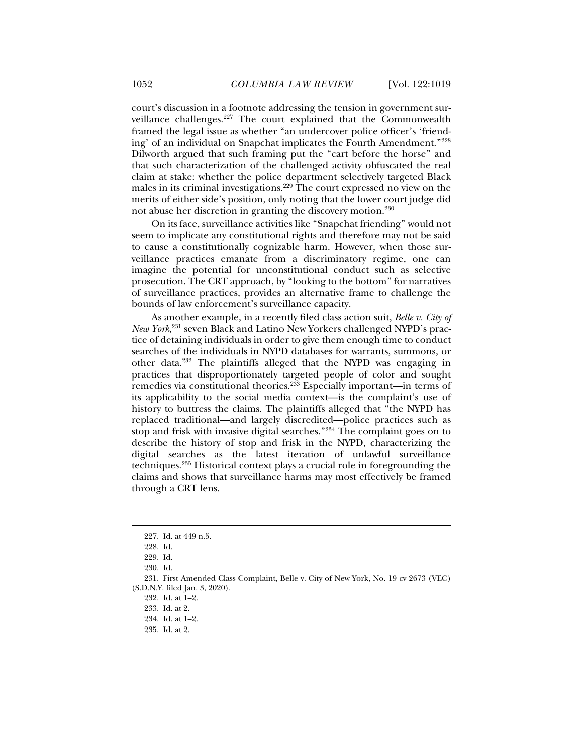court's discussion in a footnote addressing the tension in government surveillance challenges.<sup>227</sup> The court explained that the Commonwealth framed the legal issue as whether "an undercover police officer's 'friending' of an individual on Snapchat implicates the Fourth Amendment."228 Dilworth argued that such framing put the "cart before the horse" and that such characterization of the challenged activity obfuscated the real claim at stake: whether the police department selectively targeted Black males in its criminal investigations.<sup>229</sup> The court expressed no view on the merits of either side's position, only noting that the lower court judge did not abuse her discretion in granting the discovery motion.230

On its face, surveillance activities like "Snapchat friending" would not seem to implicate any constitutional rights and therefore may not be said to cause a constitutionally cognizable harm. However, when those surveillance practices emanate from a discriminatory regime, one can imagine the potential for unconstitutional conduct such as selective prosecution. The CRT approach, by "looking to the bottom" for narratives of surveillance practices, provides an alternative frame to challenge the bounds of law enforcement's surveillance capacity.

As another example, in a recently filed class action suit, *Belle v. City of New York*, 231 seven Black and Latino New Yorkers challenged NYPD's practice of detaining individuals in order to give them enough time to conduct searches of the individuals in NYPD databases for warrants, summons, or other data.232 The plaintiffs alleged that the NYPD was engaging in practices that disproportionately targeted people of color and sought remedies via constitutional theories.233 Especially important—in terms of its applicability to the social media context—is the complaint's use of history to buttress the claims. The plaintiffs alleged that "the NYPD has replaced traditional—and largely discredited—police practices such as stop and frisk with invasive digital searches."234 The complaint goes on to describe the history of stop and frisk in the NYPD, characterizing the digital searches as the latest iteration of unlawful surveillance techniques.235 Historical context plays a crucial role in foregrounding the claims and shows that surveillance harms may most effectively be framed through a CRT lens.

 <sup>227.</sup> Id. at 449 n.5.

 <sup>228.</sup> Id.

 <sup>229.</sup> Id.

 <sup>230.</sup> Id.

 <sup>231.</sup> First Amended Class Complaint, Belle v. City of New York, No. 19 cv 2673 (VEC) (S.D.N.Y. filed Jan. 3, 2020).

 <sup>232.</sup> Id. at 1–2.

 <sup>233.</sup> Id. at 2.

 <sup>234.</sup> Id. at 1–2.

 <sup>235.</sup> Id. at 2.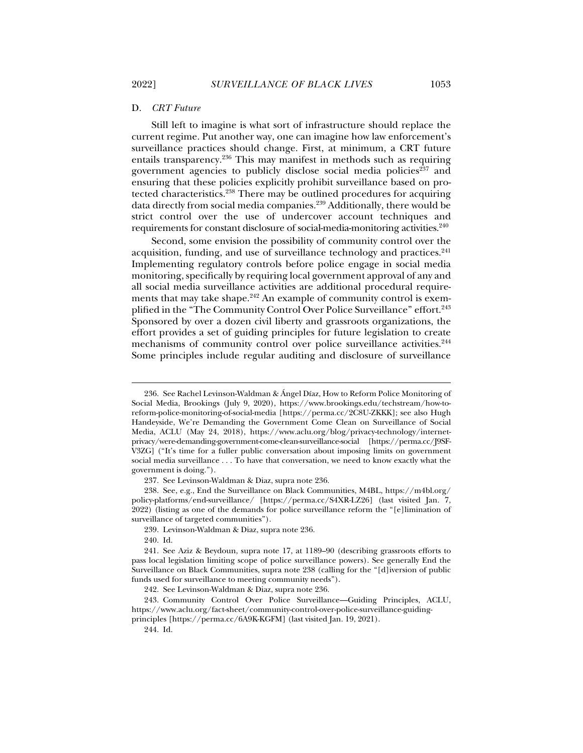#### D. *CRT Future*

Still left to imagine is what sort of infrastructure should replace the current regime. Put another way, one can imagine how law enforcement's surveillance practices should change. First, at minimum, a CRT future entails transparency.236 This may manifest in methods such as requiring government agencies to publicly disclose social media policies<sup>237</sup> and ensuring that these policies explicitly prohibit surveillance based on protected characteristics.238 There may be outlined procedures for acquiring data directly from social media companies.239 Additionally, there would be strict control over the use of undercover account techniques and requirements for constant disclosure of social-media-monitoring activities.<sup>240</sup>

Second, some envision the possibility of community control over the acquisition, funding, and use of surveillance technology and practices.  $241$ Implementing regulatory controls before police engage in social media monitoring, specifically by requiring local government approval of any and all social media surveillance activities are additional procedural requirements that may take shape.<sup>242</sup> An example of community control is exemplified in the "The Community Control Over Police Surveillance" effort.<sup>243</sup> Sponsored by over a dozen civil liberty and grassroots organizations, the effort provides a set of guiding principles for future legislation to create mechanisms of community control over police surveillance activities.<sup>244</sup> Some principles include regular auditing and disclosure of surveillance

j

244. Id.

 <sup>236.</sup> See Rachel Levinson-Waldman & Ángel Díaz, How to Reform Police Monitoring of Social Media, Brookings (July 9, 2020), https://www.brookings.edu/techstream/how-toreform-police-monitoring-of-social-media [https://perma.cc/2C8U-ZKKK]; see also Hugh Handeyside, We're Demanding the Government Come Clean on Surveillance of Social Media, ACLU (May 24, 2018), https://www.aclu.org/blog/privacy-technology/internetprivacy/were-demanding-government-come-clean-surveillance-social [https://perma.cc/J9SF-V3ZG] ("It's time for a fuller public conversation about imposing limits on government social media surveillance . . . To have that conversation, we need to know exactly what the government is doing.").

 <sup>237.</sup> See Levinson-Waldman & Diaz, supra note 236.

 <sup>238.</sup> See, e.g., End the Surveillance on Black Communities, M4BL, https://m4bl.org/ policy-platforms/end-surveillance/ [https://perma.cc/S4XR-LZ26] (last visited Jan. 7, 2022) (listing as one of the demands for police surveillance reform the "[e]limination of surveillance of targeted communities").

 <sup>239.</sup> Levinson-Waldman & Diaz, supra note 236.

 <sup>240.</sup> Id.

 <sup>241.</sup> See Aziz & Beydoun, supra note 17, at 1189–90 (describing grassroots efforts to pass local legislation limiting scope of police surveillance powers). See generally End the Surveillance on Black Communities, supra note 238 (calling for the "[d]iversion of public funds used for surveillance to meeting community needs").

 <sup>242.</sup> See Levinson-Waldman & Diaz, supra note 236.

 <sup>243.</sup> Community Control Over Police Surveillance—Guiding Principles, ACLU, https://www.aclu.org/fact-sheet/community-control-over-police-surveillance-guidingprinciples [https://perma.cc/6A9K-KGFM] (last visited Jan. 19, 2021).